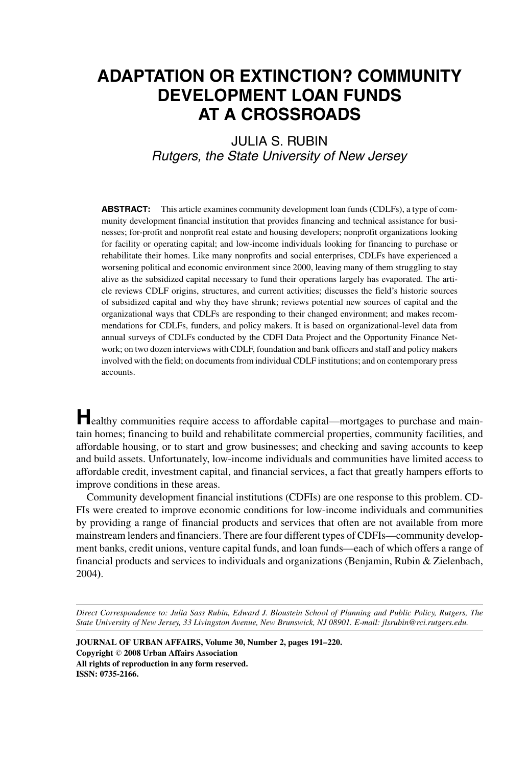# **ADAPTATION OR EXTINCTION? COMMUNITY DEVELOPMENT LOAN FUNDS AT A CROSSROADS**

JULIA S. RUBIN *Rutgers, the State University of New Jersey*

**ABSTRACT:** This article examines community development loan funds (CDLFs), a type of community development financial institution that provides financing and technical assistance for businesses; for-profit and nonprofit real estate and housing developers; nonprofit organizations looking for facility or operating capital; and low-income individuals looking for financing to purchase or rehabilitate their homes. Like many nonprofits and social enterprises, CDLFs have experienced a worsening political and economic environment since 2000, leaving many of them struggling to stay alive as the subsidized capital necessary to fund their operations largely has evaporated. The article reviews CDLF origins, structures, and current activities; discusses the field's historic sources of subsidized capital and why they have shrunk; reviews potential new sources of capital and the organizational ways that CDLFs are responding to their changed environment; and makes recommendations for CDLFs, funders, and policy makers. It is based on organizational-level data from annual surveys of CDLFs conducted by the CDFI Data Project and the Opportunity Finance Network; on two dozen interviews with CDLF, foundation and bank officers and staff and policy makers involved with the field; on documents from individual CDLF institutions; and on contemporary press accounts.

**H**ealthy communities require access to affordable capital—mortgages to purchase and maintain homes; financing to build and rehabilitate commercial properties, community facilities, and affordable housing, or to start and grow businesses; and checking and saving accounts to keep and build assets. Unfortunately, low-income individuals and communities have limited access to affordable credit, investment capital, and financial services, a fact that greatly hampers efforts to improve conditions in these areas.

Community development financial institutions (CDFIs) are one response to this problem. CD-FIs were created to improve economic conditions for low-income individuals and communities by providing a range of financial products and services that often are not available from more mainstream lenders and financiers. There are four different types of CDFIs—community development banks, credit unions, venture capital funds, and loan funds—each of which offers a range of financial products and services to individuals and organizations (Benjamin, Rubin & Zielenbach, 2004**)**.

*Direct Correspondence to: Julia Sass Rubin, Edward J. Bloustein School of Planning and Public Policy, Rutgers, The State University of New Jersey, 33 Livingston Avenue, New Brunswick, NJ 08901. E-mail: jlsrubin@rci.rutgers.edu.*

**JOURNAL OF URBAN AFFAIRS, Volume 30, Number 2, pages 191–220. Copyright** -**<sup>C</sup> 2008 Urban Affairs Association All rights of reproduction in any form reserved. ISSN: 0735-2166.**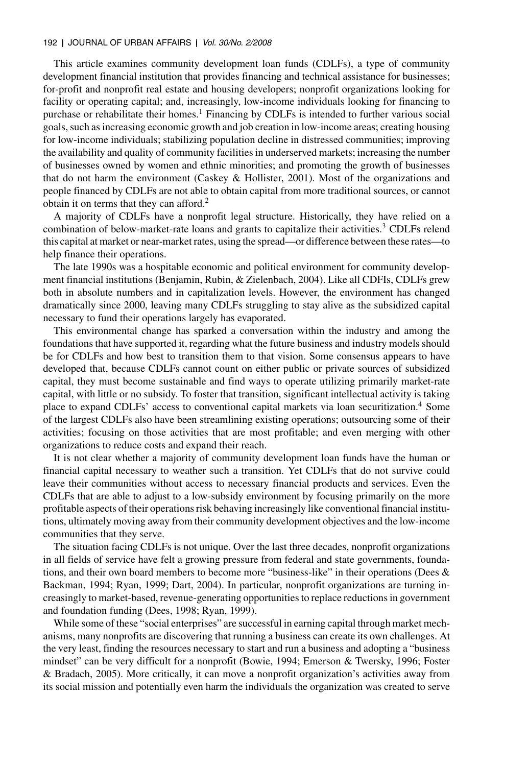This article examines community development loan funds (CDLFs), a type of community development financial institution that provides financing and technical assistance for businesses; for-profit and nonprofit real estate and housing developers; nonprofit organizations looking for facility or operating capital; and, increasingly, low-income individuals looking for financing to purchase or rehabilitate their homes.<sup>1</sup> Financing by CDLFs is intended to further various social goals, such as increasing economic growth and job creation in low-income areas; creating housing for low-income individuals; stabilizing population decline in distressed communities; improving the availability and quality of community facilities in underserved markets; increasing the number of businesses owned by women and ethnic minorities; and promoting the growth of businesses that do not harm the environment (Caskey  $&$  Hollister, 2001). Most of the organizations and people financed by CDLFs are not able to obtain capital from more traditional sources, or cannot obtain it on terms that they can afford. $2^2$ 

A majority of CDLFs have a nonprofit legal structure. Historically, they have relied on a combination of below-market-rate loans and grants to capitalize their activities.<sup>3</sup> CDLFs relend this capital at market or near-market rates, using the spread—or difference between these rates—to help finance their operations.

The late 1990s was a hospitable economic and political environment for community development financial institutions (Benjamin, Rubin, & Zielenbach, 2004). Like all CDFIs, CDLFs grew both in absolute numbers and in capitalization levels. However, the environment has changed dramatically since 2000, leaving many CDLFs struggling to stay alive as the subsidized capital necessary to fund their operations largely has evaporated.

This environmental change has sparked a conversation within the industry and among the foundations that have supported it, regarding what the future business and industry models should be for CDLFs and how best to transition them to that vision. Some consensus appears to have developed that, because CDLFs cannot count on either public or private sources of subsidized capital, they must become sustainable and find ways to operate utilizing primarily market-rate capital, with little or no subsidy. To foster that transition, significant intellectual activity is taking place to expand CDLFs' access to conventional capital markets via loan securitization.<sup>4</sup> Some of the largest CDLFs also have been streamlining existing operations; outsourcing some of their activities; focusing on those activities that are most profitable; and even merging with other organizations to reduce costs and expand their reach.

It is not clear whether a majority of community development loan funds have the human or financial capital necessary to weather such a transition. Yet CDLFs that do not survive could leave their communities without access to necessary financial products and services. Even the CDLFs that are able to adjust to a low-subsidy environment by focusing primarily on the more profitable aspects of their operations risk behaving increasingly like conventional financial institutions, ultimately moving away from their community development objectives and the low-income communities that they serve.

The situation facing CDLFs is not unique. Over the last three decades, nonprofit organizations in all fields of service have felt a growing pressure from federal and state governments, foundations, and their own board members to become more "business-like" in their operations (Dees  $\&$ Backman, 1994; Ryan, 1999; Dart, 2004). In particular, nonprofit organizations are turning increasingly to market-based, revenue-generating opportunities to replace reductions in government and foundation funding (Dees, 1998; Ryan, 1999).

While some of these "social enterprises" are successful in earning capital through market mechanisms, many nonprofits are discovering that running a business can create its own challenges. At the very least, finding the resources necessary to start and run a business and adopting a "business mindset" can be very difficult for a nonprofit (Bowie, 1994; Emerson & Twersky, 1996; Foster & Bradach, 2005). More critically, it can move a nonprofit organization's activities away from its social mission and potentially even harm the individuals the organization was created to serve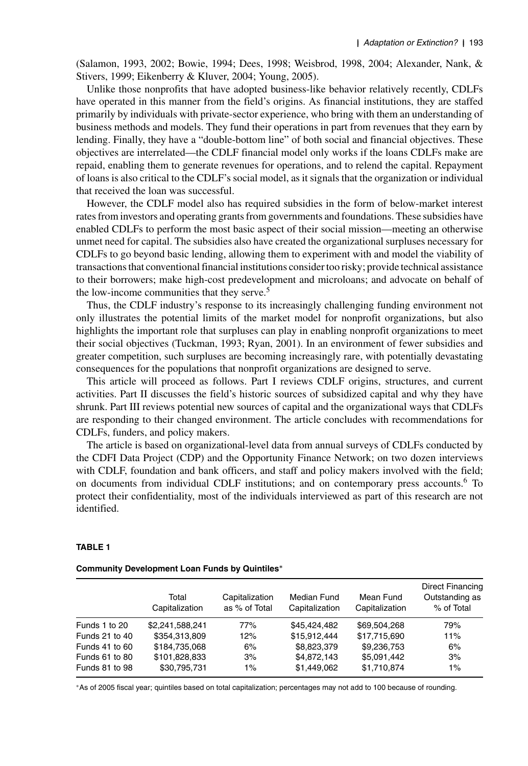(Salamon, 1993, 2002; Bowie, 1994; Dees, 1998; Weisbrod, 1998, 2004; Alexander, Nank, & Stivers, 1999; Eikenberry & Kluver, 2004; Young, 2005).

Unlike those nonprofits that have adopted business-like behavior relatively recently, CDLFs have operated in this manner from the field's origins. As financial institutions, they are staffed primarily by individuals with private-sector experience, who bring with them an understanding of business methods and models. They fund their operations in part from revenues that they earn by lending. Finally, they have a "double-bottom line" of both social and financial objectives. These objectives are interrelated—the CDLF financial model only works if the loans CDLFs make are repaid, enabling them to generate revenues for operations, and to relend the capital. Repayment of loans is also critical to the CDLF's social model, as it signals that the organization or individual that received the loan was successful.

However, the CDLF model also has required subsidies in the form of below-market interest rates from investors and operating grants from governments and foundations. These subsidies have enabled CDLFs to perform the most basic aspect of their social mission—meeting an otherwise unmet need for capital. The subsidies also have created the organizational surpluses necessary for CDLFs to go beyond basic lending, allowing them to experiment with and model the viability of transactions that conventional financial institutions consider too risky; provide technical assistance to their borrowers; make high-cost predevelopment and microloans; and advocate on behalf of the low-income communities that they serve.<sup>5</sup>

Thus, the CDLF industry's response to its increasingly challenging funding environment not only illustrates the potential limits of the market model for nonprofit organizations, but also highlights the important role that surpluses can play in enabling nonprofit organizations to meet their social objectives (Tuckman, 1993; Ryan, 2001). In an environment of fewer subsidies and greater competition, such surpluses are becoming increasingly rare, with potentially devastating consequences for the populations that nonprofit organizations are designed to serve.

This article will proceed as follows. Part I reviews CDLF origins, structures, and current activities. Part II discusses the field's historic sources of subsidized capital and why they have shrunk. Part III reviews potential new sources of capital and the organizational ways that CDLFs are responding to their changed environment. The article concludes with recommendations for CDLFs, funders, and policy makers.

The article is based on organizational-level data from annual surveys of CDLFs conducted by the CDFI Data Project (CDP) and the Opportunity Finance Network; on two dozen interviews with CDLF, foundation and bank officers, and staff and policy makers involved with the field; on documents from individual CDLF institutions; and on contemporary press accounts.<sup>6</sup> To protect their confidentiality, most of the individuals interviewed as part of this research are not identified.

# **TABLE 1**

| Direct Financing<br>Outstanding as<br>% of Total |
|--------------------------------------------------|
| 79%                                              |
| 11%                                              |
| 6%                                               |
| 3%                                               |
| 1%                                               |
|                                                  |

# **Community Development Loan Funds by Quintiles***∗*

∗As of 2005 fiscal year; quintiles based on total capitalization; percentages may not add to 100 because of rounding.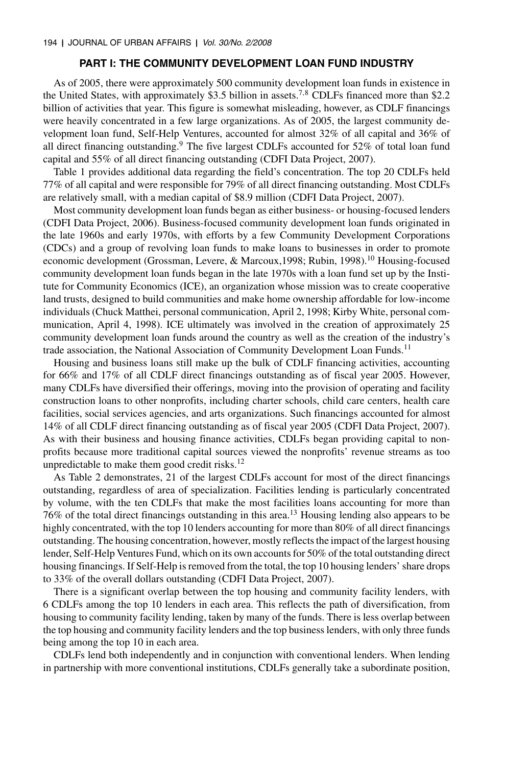# **PART I: THE COMMUNITY DEVELOPMENT LOAN FUND INDUSTRY**

As of 2005, there were approximately 500 community development loan funds in existence in the United States, with approximately \$3.5 billion in assets.<sup>7,8</sup> CDLFs financed more than \$2.2 billion of activities that year. This figure is somewhat misleading, however, as CDLF financings were heavily concentrated in a few large organizations. As of 2005, the largest community development loan fund, Self-Help Ventures, accounted for almost 32% of all capital and 36% of all direct financing outstanding.<sup>9</sup> The five largest CDLFs accounted for 52% of total loan fund capital and 55% of all direct financing outstanding (CDFI Data Project, 2007).

Table 1 provides additional data regarding the field's concentration. The top 20 CDLFs held 77% of all capital and were responsible for 79% of all direct financing outstanding. Most CDLFs are relatively small, with a median capital of \$8.9 million (CDFI Data Project, 2007).

Most community development loan funds began as either business- or housing-focused lenders (CDFI Data Project, 2006). Business-focused community development loan funds originated in the late 1960s and early 1970s, with efforts by a few Community Development Corporations (CDCs) and a group of revolving loan funds to make loans to businesses in order to promote economic development (Grossman, Levere, & Marcoux, 1998; Rubin, 1998).<sup>10</sup> Housing-focused community development loan funds began in the late 1970s with a loan fund set up by the Institute for Community Economics (ICE), an organization whose mission was to create cooperative land trusts, designed to build communities and make home ownership affordable for low-income individuals (Chuck Matthei, personal communication, April 2, 1998; Kirby White, personal communication, April 4, 1998). ICE ultimately was involved in the creation of approximately 25 community development loan funds around the country as well as the creation of the industry's trade association, the National Association of Community Development Loan Funds.<sup>11</sup>

Housing and business loans still make up the bulk of CDLF financing activities, accounting for 66% and 17% of all CDLF direct financings outstanding as of fiscal year 2005. However, many CDLFs have diversified their offerings, moving into the provision of operating and facility construction loans to other nonprofits, including charter schools, child care centers, health care facilities, social services agencies, and arts organizations. Such financings accounted for almost 14% of all CDLF direct financing outstanding as of fiscal year 2005 (CDFI Data Project, 2007). As with their business and housing finance activities, CDLFs began providing capital to nonprofits because more traditional capital sources viewed the nonprofits' revenue streams as too unpredictable to make them good credit risks. $^{12}$ 

As Table 2 demonstrates, 21 of the largest CDLFs account for most of the direct financings outstanding, regardless of area of specialization. Facilities lending is particularly concentrated by volume, with the ten CDLFs that make the most facilities loans accounting for more than 76% of the total direct financings outstanding in this area.<sup>13</sup> Housing lending also appears to be highly concentrated, with the top 10 lenders accounting for more than 80% of all direct financings outstanding. The housing concentration, however, mostly reflects the impact of the largest housing lender, Self-Help Ventures Fund, which on its own accounts for 50% of the total outstanding direct housing financings. If Self-Help is removed from the total, the top 10 housing lenders' share drops to 33% of the overall dollars outstanding (CDFI Data Project, 2007).

There is a significant overlap between the top housing and community facility lenders, with 6 CDLFs among the top 10 lenders in each area. This reflects the path of diversification, from housing to community facility lending, taken by many of the funds. There is less overlap between the top housing and community facility lenders and the top business lenders, with only three funds being among the top 10 in each area.

CDLFs lend both independently and in conjunction with conventional lenders. When lending in partnership with more conventional institutions, CDLFs generally take a subordinate position,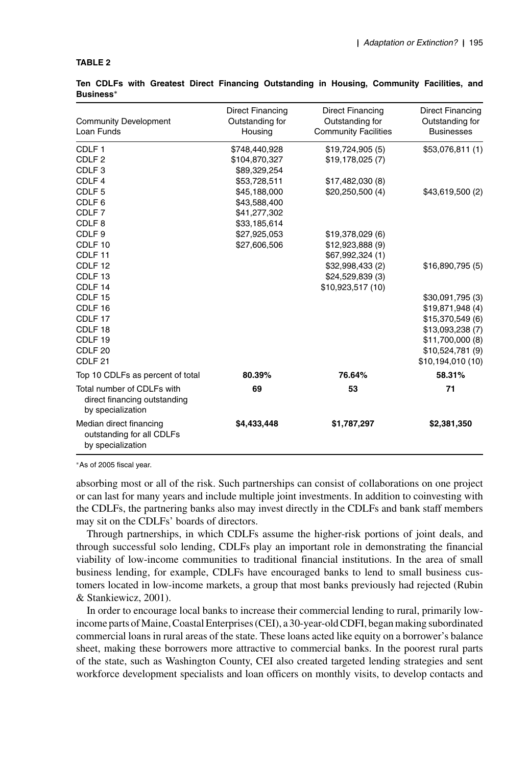| <b>Community Development</b><br>Loan Funds                                      | <b>Direct Financing</b><br>Outstanding for<br>Housing | Direct Financing<br>Outstanding for<br><b>Community Facilities</b> | Direct Financing<br>Outstanding for<br><b>Businesses</b> |
|---------------------------------------------------------------------------------|-------------------------------------------------------|--------------------------------------------------------------------|----------------------------------------------------------|
|                                                                                 |                                                       |                                                                    |                                                          |
| CDLF <sub>1</sub><br>CDLF <sub>2</sub>                                          | \$748,440,928                                         | \$19,724,905 (5)                                                   | \$53,076,811 (1)                                         |
| CDLF <sub>3</sub>                                                               | \$104,870,327<br>\$89,329,254                         | \$19,178,025 (7)                                                   |                                                          |
| CDLF <sub>4</sub>                                                               | \$53,728,511                                          |                                                                    |                                                          |
| CDLF <sub>5</sub>                                                               |                                                       | \$17,482,030 (8)                                                   |                                                          |
|                                                                                 | \$45,188,000                                          | \$20,250,500 (4)                                                   | \$43,619,500 (2)                                         |
| CDLF <sub>6</sub>                                                               | \$43,588,400                                          |                                                                    |                                                          |
| CDLF <sub>7</sub>                                                               | \$41,277,302                                          |                                                                    |                                                          |
| CDLF <sub>8</sub>                                                               | \$33,185,614                                          |                                                                    |                                                          |
| CDLF <sub>9</sub>                                                               | \$27,925,053                                          | \$19,378,029 (6)                                                   |                                                          |
| CDLF 10                                                                         | \$27,606,506                                          | \$12,923,888 (9)                                                   |                                                          |
| CDLF <sub>11</sub>                                                              |                                                       | \$67,992,324 (1)                                                   |                                                          |
| CDLF <sub>12</sub>                                                              |                                                       | \$32,998,433 (2)                                                   | \$16,890,795(5)                                          |
| CDLF <sub>13</sub>                                                              |                                                       | \$24,529,839 (3)                                                   |                                                          |
| CDLF <sub>14</sub>                                                              |                                                       | \$10,923,517(10)                                                   |                                                          |
| CDLF <sub>15</sub>                                                              |                                                       |                                                                    | \$30,091,795 (3)                                         |
| CDLF <sub>16</sub>                                                              |                                                       |                                                                    | \$19,871,948 (4)                                         |
| CDLF 17                                                                         |                                                       |                                                                    | \$15,370,549 (6)                                         |
| CDLF <sub>18</sub>                                                              |                                                       |                                                                    | \$13,093,238 (7)                                         |
| CDLF <sub>19</sub>                                                              |                                                       |                                                                    | \$11,700,000 (8)                                         |
| CDLF <sub>20</sub>                                                              |                                                       |                                                                    | \$10,524,781 (9)                                         |
| CDLF <sub>21</sub>                                                              |                                                       |                                                                    | \$10,194,010 (10)                                        |
| Top 10 CDLFs as percent of total                                                | 80.39%                                                | 76.64%                                                             | 58.31%                                                   |
| Total number of CDLFs with<br>direct financing outstanding<br>by specialization | 69                                                    | 53                                                                 | 71                                                       |
| Median direct financing<br>outstanding for all CDLFs<br>by specialization       | \$4,433,448                                           | \$1,787,297                                                        | \$2,381,350                                              |

# **Ten CDLFs with Greatest Direct Financing Outstanding in Housing, Community Facilities, and**

∗As of 2005 fiscal year.

**TABLE 2**

**Business***∗*

absorbing most or all of the risk. Such partnerships can consist of collaborations on one project or can last for many years and include multiple joint investments. In addition to coinvesting with the CDLFs, the partnering banks also may invest directly in the CDLFs and bank staff members may sit on the CDLFs' boards of directors.

Through partnerships, in which CDLFs assume the higher-risk portions of joint deals, and through successful solo lending, CDLFs play an important role in demonstrating the financial viability of low-income communities to traditional financial institutions. In the area of small business lending, for example, CDLFs have encouraged banks to lend to small business customers located in low-income markets, a group that most banks previously had rejected (Rubin & Stankiewicz, 2001).

In order to encourage local banks to increase their commercial lending to rural, primarily lowincome parts of Maine, Coastal Enterprises (CEI), a 30-year-old CDFI, began making subordinated commercial loans in rural areas of the state. These loans acted like equity on a borrower's balance sheet, making these borrowers more attractive to commercial banks. In the poorest rural parts of the state, such as Washington County, CEI also created targeted lending strategies and sent workforce development specialists and loan officers on monthly visits, to develop contacts and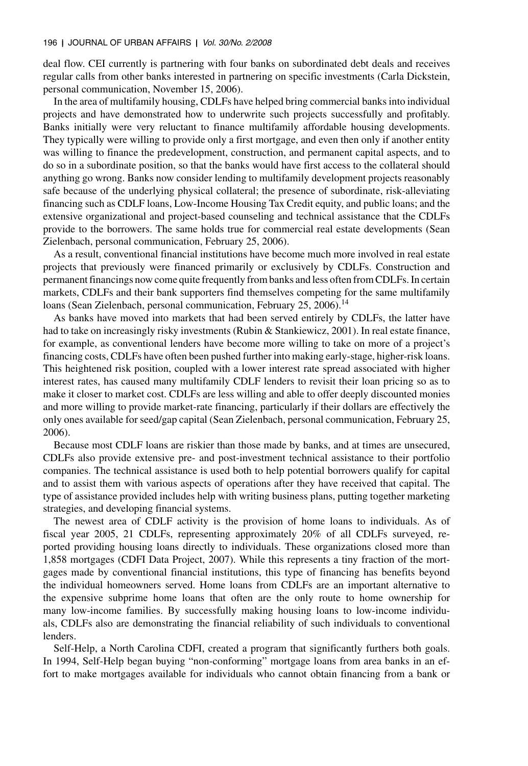deal flow. CEI currently is partnering with four banks on subordinated debt deals and receives regular calls from other banks interested in partnering on specific investments (Carla Dickstein, personal communication, November 15, 2006).

In the area of multifamily housing, CDLFs have helped bring commercial banks into individual projects and have demonstrated how to underwrite such projects successfully and profitably. Banks initially were very reluctant to finance multifamily affordable housing developments. They typically were willing to provide only a first mortgage, and even then only if another entity was willing to finance the predevelopment, construction, and permanent capital aspects, and to do so in a subordinate position, so that the banks would have first access to the collateral should anything go wrong. Banks now consider lending to multifamily development projects reasonably safe because of the underlying physical collateral; the presence of subordinate, risk-alleviating financing such as CDLF loans, Low-Income Housing Tax Credit equity, and public loans; and the extensive organizational and project-based counseling and technical assistance that the CDLFs provide to the borrowers. The same holds true for commercial real estate developments (Sean Zielenbach, personal communication, February 25, 2006).

As a result, conventional financial institutions have become much more involved in real estate projects that previously were financed primarily or exclusively by CDLFs. Construction and permanent financings now come quite frequently from banks and less often from CDLFs. In certain markets, CDLFs and their bank supporters find themselves competing for the same multifamily loans (Sean Zielenbach, personal communication, February 25, 2006).<sup>14</sup>

As banks have moved into markets that had been served entirely by CDLFs, the latter have had to take on increasingly risky investments (Rubin & Stankiewicz, 2001). In real estate finance, for example, as conventional lenders have become more willing to take on more of a project's financing costs, CDLFs have often been pushed further into making early-stage, higher-risk loans. This heightened risk position, coupled with a lower interest rate spread associated with higher interest rates, has caused many multifamily CDLF lenders to revisit their loan pricing so as to make it closer to market cost. CDLFs are less willing and able to offer deeply discounted monies and more willing to provide market-rate financing, particularly if their dollars are effectively the only ones available for seed/gap capital (Sean Zielenbach, personal communication, February 25, 2006).

Because most CDLF loans are riskier than those made by banks, and at times are unsecured, CDLFs also provide extensive pre- and post-investment technical assistance to their portfolio companies. The technical assistance is used both to help potential borrowers qualify for capital and to assist them with various aspects of operations after they have received that capital. The type of assistance provided includes help with writing business plans, putting together marketing strategies, and developing financial systems.

The newest area of CDLF activity is the provision of home loans to individuals. As of fiscal year 2005, 21 CDLFs, representing approximately 20% of all CDLFs surveyed, reported providing housing loans directly to individuals. These organizations closed more than 1,858 mortgages (CDFI Data Project, 2007). While this represents a tiny fraction of the mortgages made by conventional financial institutions, this type of financing has benefits beyond the individual homeowners served. Home loans from CDLFs are an important alternative to the expensive subprime home loans that often are the only route to home ownership for many low-income families. By successfully making housing loans to low-income individuals, CDLFs also are demonstrating the financial reliability of such individuals to conventional lenders.

Self-Help, a North Carolina CDFI, created a program that significantly furthers both goals. In 1994, Self-Help began buying "non-conforming" mortgage loans from area banks in an effort to make mortgages available for individuals who cannot obtain financing from a bank or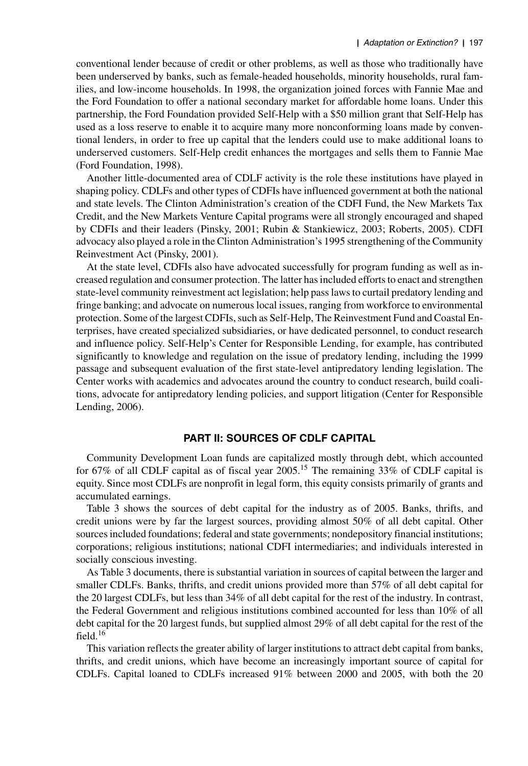conventional lender because of credit or other problems, as well as those who traditionally have been underserved by banks, such as female-headed households, minority households, rural families, and low-income households. In 1998, the organization joined forces with Fannie Mae and the Ford Foundation to offer a national secondary market for affordable home loans. Under this partnership, the Ford Foundation provided Self-Help with a \$50 million grant that Self-Help has used as a loss reserve to enable it to acquire many more nonconforming loans made by conventional lenders, in order to free up capital that the lenders could use to make additional loans to underserved customers. Self-Help credit enhances the mortgages and sells them to Fannie Mae (Ford Foundation, 1998).

Another little-documented area of CDLF activity is the role these institutions have played in shaping policy. CDLFs and other types of CDFIs have influenced government at both the national and state levels. The Clinton Administration's creation of the CDFI Fund, the New Markets Tax Credit, and the New Markets Venture Capital programs were all strongly encouraged and shaped by CDFIs and their leaders (Pinsky, 2001; Rubin & Stankiewicz, 2003; Roberts, 2005). CDFI advocacy also played a role in the Clinton Administration's 1995 strengthening of the Community Reinvestment Act (Pinsky, 2001).

At the state level, CDFIs also have advocated successfully for program funding as well as increased regulation and consumer protection. The latter has included efforts to enact and strengthen state-level community reinvestment act legislation; help pass laws to curtail predatory lending and fringe banking; and advocate on numerous local issues, ranging from workforce to environmental protection. Some of the largest CDFIs, such as Self-Help, The Reinvestment Fund and Coastal Enterprises, have created specialized subsidiaries, or have dedicated personnel, to conduct research and influence policy. Self-Help's Center for Responsible Lending, for example, has contributed significantly to knowledge and regulation on the issue of predatory lending, including the 1999 passage and subsequent evaluation of the first state-level antipredatory lending legislation. The Center works with academics and advocates around the country to conduct research, build coalitions, advocate for antipredatory lending policies, and support litigation (Center for Responsible Lending, 2006).

# **PART II: SOURCES OF CDLF CAPITAL**

Community Development Loan funds are capitalized mostly through debt, which accounted for 67% of all CDLF capital as of fiscal year 2005.<sup>15</sup> The remaining 33% of CDLF capital is equity. Since most CDLFs are nonprofit in legal form, this equity consists primarily of grants and accumulated earnings.

Table 3 shows the sources of debt capital for the industry as of 2005. Banks, thrifts, and credit unions were by far the largest sources, providing almost 50% of all debt capital. Other sources included foundations; federal and state governments; nondepository financial institutions; corporations; religious institutions; national CDFI intermediaries; and individuals interested in socially conscious investing.

As Table 3 documents, there is substantial variation in sources of capital between the larger and smaller CDLFs. Banks, thrifts, and credit unions provided more than 57% of all debt capital for the 20 largest CDLFs, but less than 34% of all debt capital for the rest of the industry. In contrast, the Federal Government and religious institutions combined accounted for less than 10% of all debt capital for the 20 largest funds, but supplied almost 29% of all debt capital for the rest of the field.16

This variation reflects the greater ability of larger institutions to attract debt capital from banks, thrifts, and credit unions, which have become an increasingly important source of capital for CDLFs. Capital loaned to CDLFs increased 91% between 2000 and 2005, with both the 20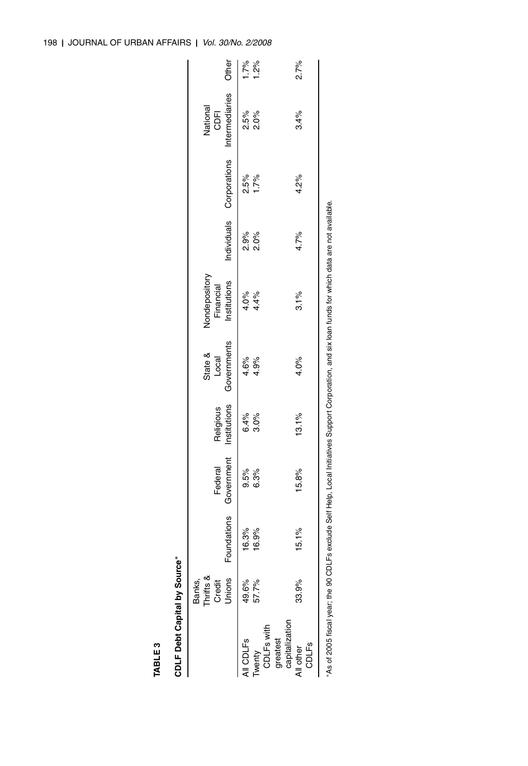| TABLE 3                             |                                         |                    |                       |                           |                                 |                                                                                                                                                      |              |                          |                                    |         |
|-------------------------------------|-----------------------------------------|--------------------|-----------------------|---------------------------|---------------------------------|------------------------------------------------------------------------------------------------------------------------------------------------------|--------------|--------------------------|------------------------------------|---------|
| <b>CDLF Debt Capital by Source*</b> |                                         |                    |                       |                           |                                 |                                                                                                                                                      |              |                          |                                    |         |
|                                     | Unions<br>Thrifts &<br>Banks,<br>Credit | <b>Foundations</b> | Government<br>Federal | Institutions<br>Religious | Governments<br>State &<br>Local | Nondepository<br>Institutions<br>Financial                                                                                                           |              | Individuals Corporations | Intermediaries<br>National<br>CDFI | Other   |
| All CDLFs                           | 49.6%                                   | 16.3%              | 9.5%                  | 6.4%                      | 4.6%                            | 4.0%                                                                                                                                                 | 2.9%<br>2.0% | 2.5%                     | 2.5%                               | 1.7%    |
| CDLFs with<br><b>Twenty</b>         | 57.7%                                   | 16.9%              | 6.3%                  | 3.0%                      | 4.9%                            | 4.4%                                                                                                                                                 |              | 1.7%                     | 2.0%                               | $1.2\%$ |
| capitalization<br>greatest          |                                         |                    |                       |                           |                                 |                                                                                                                                                      |              |                          |                                    |         |
| CDLFs<br>All other                  | 33.9%                                   | ್<br>- 15<br>1     | 15.8%                 | 13.1%                     | 4.0%                            | 3.1%                                                                                                                                                 | 4.7%         | 4.2%                     | 3.4%                               | 2.7%    |
|                                     |                                         |                    |                       |                           |                                 | *As of 2005 fiscal year; the 90 CDLFs exclude Self Help, Local Initiatives Support Corporation, and six loan funds for which data are not available. |              |                          |                                    |         |

TABLE 3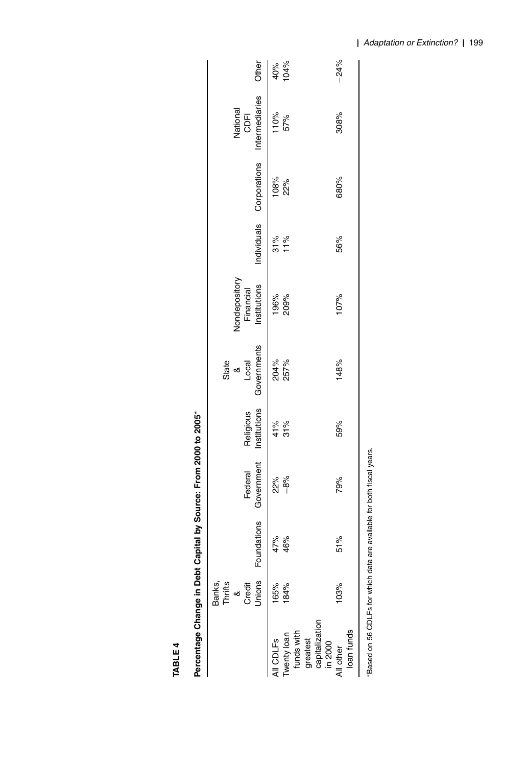|                                                                                                                                                                                                                                                                                                           | Jnions<br>Banks,<br>Thrifts<br>Credit | <b>Foundations</b> | Government<br>Federal                                                                                                                                                                                                                | Religious<br>Institutions | Governments<br>State<br>&<br>Local | Vondepository<br>Institutions<br>Financial |                   | Individuals Corporations | Intermediaries<br>National<br>CDFI | Other       |
|-----------------------------------------------------------------------------------------------------------------------------------------------------------------------------------------------------------------------------------------------------------------------------------------------------------|---------------------------------------|--------------------|--------------------------------------------------------------------------------------------------------------------------------------------------------------------------------------------------------------------------------------|---------------------------|------------------------------------|--------------------------------------------|-------------------|--------------------------|------------------------------------|-------------|
| capitalization<br>Twenty loan<br>funds with<br>greatest<br>All CDLFs                                                                                                                                                                                                                                      | 165%<br>184%                          | 47%<br>46%         | $22%$<br>$-8%$                                                                                                                                                                                                                       | $\frac{41%}{31%}$         | 204%<br>257%                       | 196%<br>209%                               | $\frac{31%}{11%}$ | $\frac{108%}{22%}$       | 110%<br>57%                        | 40%<br>104% |
| loan funds<br>in 2000<br>All other                                                                                                                                                                                                                                                                        | 103%                                  | 51%                | 79%                                                                                                                                                                                                                                  | 59%                       | 148%                               | 107%                                       | 56%               | 680%                     | 308%                               | $-24%$      |
| $\frac{1}{2}$ , $\frac{1}{2}$ , $\frac{1}{2}$ , $\frac{1}{2}$ , $\frac{1}{2}$ , $\frac{1}{2}$ , $\frac{1}{2}$ , $\frac{1}{2}$ , $\frac{1}{2}$ , $\frac{1}{2}$ , $\frac{1}{2}$ , $\frac{1}{2}$ , $\frac{1}{2}$ , $\frac{1}{2}$ , $\frac{1}{2}$ , $\frac{1}{2}$ , $\frac{1}{2}$ , $\frac{1}{2}$ , $\frac{1$ |                                       |                    | $\mathbf{u}$ and $\mathbf{u}$ are the set of the set of the set of the set of the set of the set of the set of the set of the set of the set of the set of the set of the set of the set of the set of the set of the set of the set |                           |                                    |                                            |                   |                          |                                    |             |

Percentage Change in Debt Capital by Source: From 2000 to 2005\* **Percentage Change in Debt Capital by Source: From 2000 to 2005***∗*

**TABLE 4**

TABLE 4

\*Based on 56 CDLFs for which data are available for both fiscal years. ∗Based on 56 CDLFs for which data are available for both fiscal years.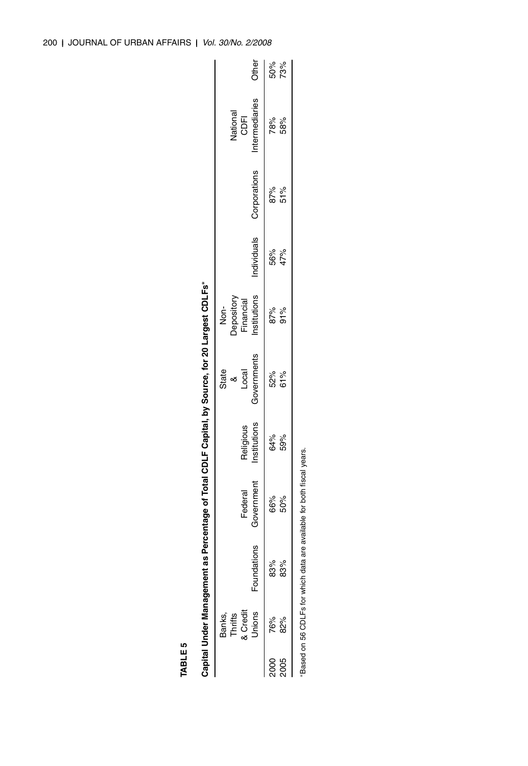| TABLE 5 |                               |                                         |                                |                          |                                                                                                |                                          |     |                          |                         |            |
|---------|-------------------------------|-----------------------------------------|--------------------------------|--------------------------|------------------------------------------------------------------------------------------------|------------------------------------------|-----|--------------------------|-------------------------|------------|
|         |                               |                                         |                                |                          | Capital Under Management as Percentage of Total CDLF Capital, by Source, for 20 Largest CDLFs* |                                          |     |                          |                         |            |
|         | & Credit<br>Banks,<br>Thrifts |                                         | Federal                        |                          | State<br>Local<br>∞                                                                            | Depository<br>Financial<br>$\frac{1}{2}$ |     |                          | National<br><b>CDFI</b> |            |
|         | Jnions                        | Foundations                             | Government                     | nstitutions<br>Religious | Governments                                                                                    | Institutions                             |     | Individuals Corporations | Intermediaries          | Other      |
| 2000    | 76%                           | 83%                                     | 86%                            | 64%                      | 52%                                                                                            | 87%                                      | 56% | 87%                      | 78%                     | 50%<br>73% |
| 2005    | 82%                           | 83%                                     | 50%                            | 59%                      | 61%                                                                                            | $91\%$                                   | 47% | 51%                      | 58%                     |            |
|         |                               | Based on 56 CDLFs for which data are av | ailable for both fiscal years. |                          |                                                                                                |                                          |     |                          |                         |            |

TABLE<sub>5</sub>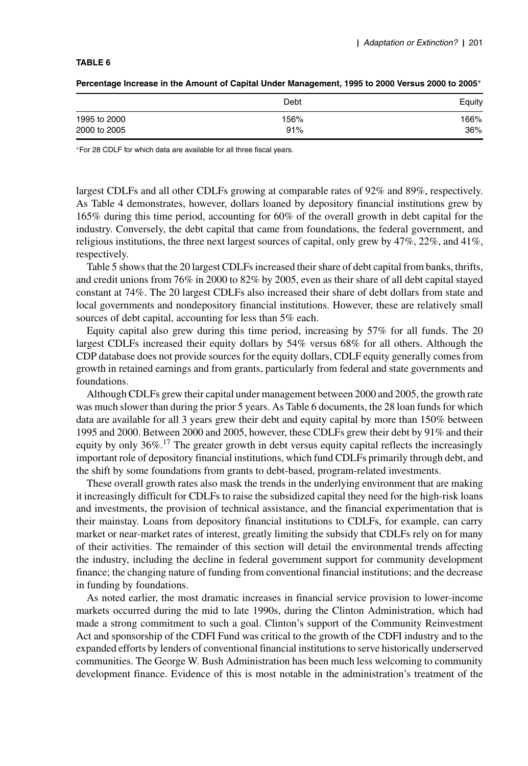## **TABLE 6**

|              | Debt | Equity |
|--------------|------|--------|
| 1995 to 2000 | 156% | 166%   |
| 2000 to 2005 | 91%  | 36%    |

**Percentage Increase in the Amount of Capital Under Management, 1995 to 2000 Versus 2000 to 2005***∗*

∗For 28 CDLF for which data are available for all three fiscal years.

largest CDLFs and all other CDLFs growing at comparable rates of 92% and 89%, respectively. As Table 4 demonstrates, however, dollars loaned by depository financial institutions grew by 165% during this time period, accounting for 60% of the overall growth in debt capital for the industry. Conversely, the debt capital that came from foundations, the federal government, and religious institutions, the three next largest sources of capital, only grew by 47%, 22%, and 41%, respectively.

Table 5 shows that the 20 largest CDLFs increased their share of debt capital from banks, thrifts, and credit unions from 76% in 2000 to 82% by 2005, even as their share of all debt capital stayed constant at 74%. The 20 largest CDLFs also increased their share of debt dollars from state and local governments and nondepository financial institutions. However, these are relatively small sources of debt capital, accounting for less than 5% each.

Equity capital also grew during this time period, increasing by 57% for all funds. The 20 largest CDLFs increased their equity dollars by 54% versus 68% for all others. Although the CDP database does not provide sources for the equity dollars, CDLF equity generally comes from growth in retained earnings and from grants, particularly from federal and state governments and foundations.

Although CDLFs grew their capital under management between 2000 and 2005, the growth rate was much slower than during the prior 5 years. As Table 6 documents, the 28 loan funds for which data are available for all 3 years grew their debt and equity capital by more than 150% between 1995 and 2000. Between 2000 and 2005, however, these CDLFs grew their debt by 91% and their equity by only 36%.<sup>17</sup> The greater growth in debt versus equity capital reflects the increasingly important role of depository financial institutions, which fund CDLFs primarily through debt, and the shift by some foundations from grants to debt-based, program-related investments.

These overall growth rates also mask the trends in the underlying environment that are making it increasingly difficult for CDLFs to raise the subsidized capital they need for the high-risk loans and investments, the provision of technical assistance, and the financial experimentation that is their mainstay. Loans from depository financial institutions to CDLFs, for example, can carry market or near-market rates of interest, greatly limiting the subsidy that CDLFs rely on for many of their activities. The remainder of this section will detail the environmental trends affecting the industry, including the decline in federal government support for community development finance; the changing nature of funding from conventional financial institutions; and the decrease in funding by foundations.

As noted earlier, the most dramatic increases in financial service provision to lower-income markets occurred during the mid to late 1990s, during the Clinton Administration, which had made a strong commitment to such a goal. Clinton's support of the Community Reinvestment Act and sponsorship of the CDFI Fund was critical to the growth of the CDFI industry and to the expanded efforts by lenders of conventional financial institutions to serve historically underserved communities. The George W. Bush Administration has been much less welcoming to community development finance. Evidence of this is most notable in the administration's treatment of the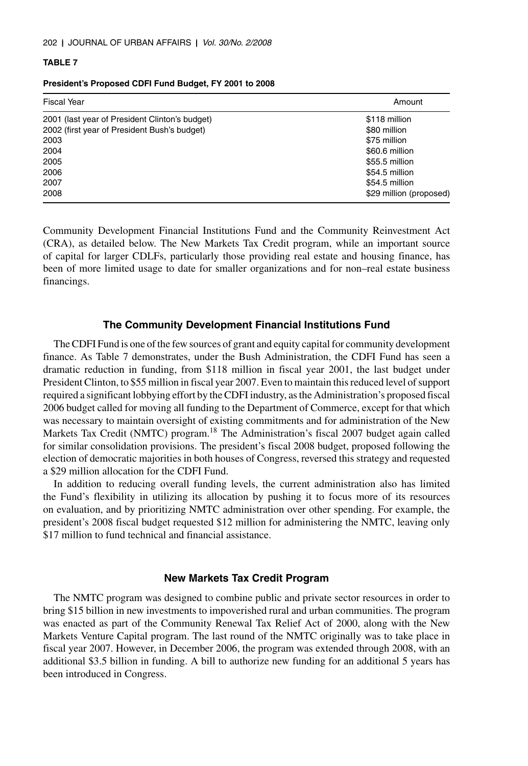## **TABLE 7**

| President's Proposed CDFI Fund Budget, FY 2001 to 2008 |  |  |  |  |  |  |
|--------------------------------------------------------|--|--|--|--|--|--|
|--------------------------------------------------------|--|--|--|--|--|--|

| <b>Fiscal Year</b>                             | Amount                  |
|------------------------------------------------|-------------------------|
| 2001 (last year of President Clinton's budget) | \$118 million           |
| 2002 (first year of President Bush's budget)   | \$80 million            |
| 2003                                           | \$75 million            |
| 2004                                           | \$60.6 million          |
| 2005                                           | \$55.5 million          |
| 2006                                           | \$54.5 million          |
| 2007                                           | \$54.5 million          |
| 2008                                           | \$29 million (proposed) |

Community Development Financial Institutions Fund and the Community Reinvestment Act (CRA), as detailed below. The New Markets Tax Credit program, while an important source of capital for larger CDLFs, particularly those providing real estate and housing finance, has been of more limited usage to date for smaller organizations and for non–real estate business financings.

## **The Community Development Financial Institutions Fund**

The CDFI Fund is one of the few sources of grant and equity capital for community development finance. As Table 7 demonstrates, under the Bush Administration, the CDFI Fund has seen a dramatic reduction in funding, from \$118 million in fiscal year 2001, the last budget under President Clinton, to \$55 million in fiscal year 2007. Even to maintain this reduced level of support required a significant lobbying effort by the CDFI industry, as the Administration's proposed fiscal 2006 budget called for moving all funding to the Department of Commerce, except for that which was necessary to maintain oversight of existing commitments and for administration of the New Markets Tax Credit (NMTC) program.<sup>18</sup> The Administration's fiscal 2007 budget again called for similar consolidation provisions. The president's fiscal 2008 budget, proposed following the election of democratic majorities in both houses of Congress, reversed this strategy and requested a \$29 million allocation for the CDFI Fund.

In addition to reducing overall funding levels, the current administration also has limited the Fund's flexibility in utilizing its allocation by pushing it to focus more of its resources on evaluation, and by prioritizing NMTC administration over other spending. For example, the president's 2008 fiscal budget requested \$12 million for administering the NMTC, leaving only \$17 million to fund technical and financial assistance.

#### **New Markets Tax Credit Program**

The NMTC program was designed to combine public and private sector resources in order to bring \$15 billion in new investments to impoverished rural and urban communities. The program was enacted as part of the Community Renewal Tax Relief Act of 2000, along with the New Markets Venture Capital program. The last round of the NMTC originally was to take place in fiscal year 2007. However, in December 2006, the program was extended through 2008, with an additional \$3.5 billion in funding. A bill to authorize new funding for an additional 5 years has been introduced in Congress.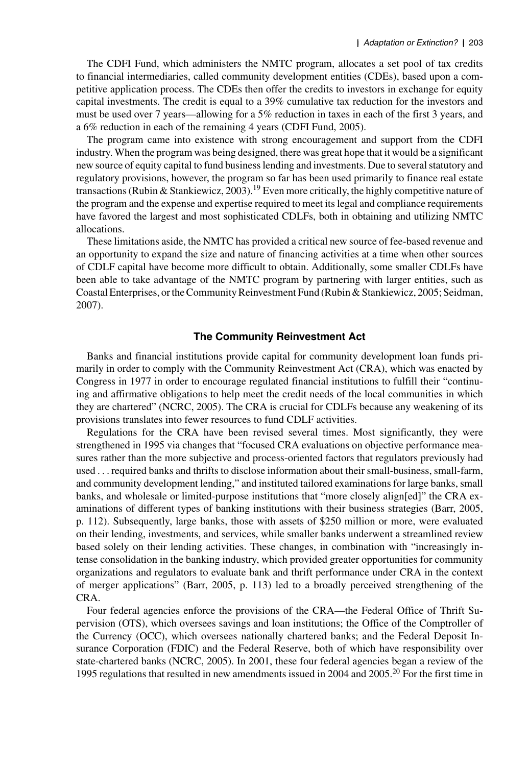The CDFI Fund, which administers the NMTC program, allocates a set pool of tax credits to financial intermediaries, called community development entities (CDEs), based upon a competitive application process. The CDEs then offer the credits to investors in exchange for equity capital investments. The credit is equal to a 39% cumulative tax reduction for the investors and must be used over 7 years—allowing for a 5% reduction in taxes in each of the first 3 years, and a 6% reduction in each of the remaining 4 years (CDFI Fund, 2005).

The program came into existence with strong encouragement and support from the CDFI industry. When the program was being designed, there was great hope that it would be a significant new source of equity capital to fund business lending and investments. Due to several statutory and regulatory provisions, however, the program so far has been used primarily to finance real estate transactions (Rubin & Stankiewicz, 2003).<sup>19</sup> Even more critically, the highly competitive nature of the program and the expense and expertise required to meet its legal and compliance requirements have favored the largest and most sophisticated CDLFs, both in obtaining and utilizing NMTC allocations.

These limitations aside, the NMTC has provided a critical new source of fee-based revenue and an opportunity to expand the size and nature of financing activities at a time when other sources of CDLF capital have become more difficult to obtain. Additionally, some smaller CDLFs have been able to take advantage of the NMTC program by partnering with larger entities, such as Coastal Enterprises, or the Community Reinvestment Fund (Rubin & Stankiewicz, 2005; Seidman, 2007).

# **The Community Reinvestment Act**

Banks and financial institutions provide capital for community development loan funds primarily in order to comply with the Community Reinvestment Act (CRA), which was enacted by Congress in 1977 in order to encourage regulated financial institutions to fulfill their "continuing and affirmative obligations to help meet the credit needs of the local communities in which they are chartered" (NCRC, 2005). The CRA is crucial for CDLFs because any weakening of its provisions translates into fewer resources to fund CDLF activities.

Regulations for the CRA have been revised several times. Most significantly, they were strengthened in 1995 via changes that "focused CRA evaluations on objective performance measures rather than the more subjective and process-oriented factors that regulators previously had used ... required banks and thrifts to disclose information about their small-business, small-farm, and community development lending," and instituted tailored examinations for large banks, small banks, and wholesale or limited-purpose institutions that "more closely align[ed]" the CRA examinations of different types of banking institutions with their business strategies (Barr, 2005, p. 112). Subsequently, large banks, those with assets of \$250 million or more, were evaluated on their lending, investments, and services, while smaller banks underwent a streamlined review based solely on their lending activities. These changes, in combination with "increasingly intense consolidation in the banking industry, which provided greater opportunities for community organizations and regulators to evaluate bank and thrift performance under CRA in the context of merger applications" (Barr, 2005, p. 113) led to a broadly perceived strengthening of the CRA.

Four federal agencies enforce the provisions of the CRA—the Federal Office of Thrift Supervision (OTS), which oversees savings and loan institutions; the Office of the Comptroller of the Currency (OCC), which oversees nationally chartered banks; and the Federal Deposit Insurance Corporation (FDIC) and the Federal Reserve, both of which have responsibility over state-chartered banks (NCRC, 2005). In 2001, these four federal agencies began a review of the 1995 regulations that resulted in new amendments issued in 2004 and 2005.<sup>20</sup> For the first time in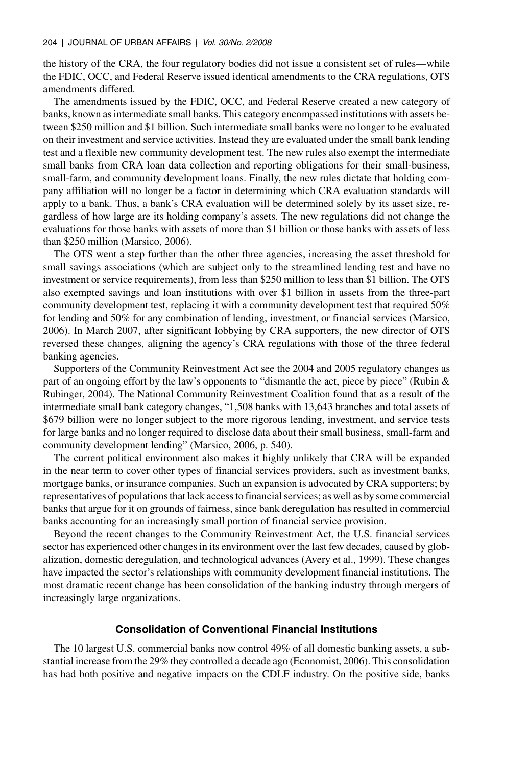the history of the CRA, the four regulatory bodies did not issue a consistent set of rules—while the FDIC, OCC, and Federal Reserve issued identical amendments to the CRA regulations, OTS amendments differed.

The amendments issued by the FDIC, OCC, and Federal Reserve created a new category of banks, known as intermediate small banks. This category encompassed institutions with assets between \$250 million and \$1 billion. Such intermediate small banks were no longer to be evaluated on their investment and service activities. Instead they are evaluated under the small bank lending test and a flexible new community development test. The new rules also exempt the intermediate small banks from CRA loan data collection and reporting obligations for their small-business, small-farm, and community development loans. Finally, the new rules dictate that holding company affiliation will no longer be a factor in determining which CRA evaluation standards will apply to a bank. Thus, a bank's CRA evaluation will be determined solely by its asset size, regardless of how large are its holding company's assets. The new regulations did not change the evaluations for those banks with assets of more than \$1 billion or those banks with assets of less than \$250 million (Marsico, 2006).

The OTS went a step further than the other three agencies, increasing the asset threshold for small savings associations (which are subject only to the streamlined lending test and have no investment or service requirements), from less than \$250 million to less than \$1 billion. The OTS also exempted savings and loan institutions with over \$1 billion in assets from the three-part community development test, replacing it with a community development test that required 50% for lending and 50% for any combination of lending, investment, or financial services (Marsico, 2006). In March 2007, after significant lobbying by CRA supporters, the new director of OTS reversed these changes, aligning the agency's CRA regulations with those of the three federal banking agencies.

Supporters of the Community Reinvestment Act see the 2004 and 2005 regulatory changes as part of an ongoing effort by the law's opponents to "dismantle the act, piece by piece" (Rubin  $\&$ Rubinger, 2004). The National Community Reinvestment Coalition found that as a result of the intermediate small bank category changes, "1,508 banks with 13,643 branches and total assets of \$679 billion were no longer subject to the more rigorous lending, investment, and service tests for large banks and no longer required to disclose data about their small business, small-farm and community development lending" (Marsico, 2006, p. 540).

The current political environment also makes it highly unlikely that CRA will be expanded in the near term to cover other types of financial services providers, such as investment banks, mortgage banks, or insurance companies. Such an expansion is advocated by CRA supporters; by representatives of populations that lack access to financial services; as well as by some commercial banks that argue for it on grounds of fairness, since bank deregulation has resulted in commercial banks accounting for an increasingly small portion of financial service provision.

Beyond the recent changes to the Community Reinvestment Act, the U.S. financial services sector has experienced other changes in its environment over the last few decades, caused by globalization, domestic deregulation, and technological advances (Avery et al., 1999). These changes have impacted the sector's relationships with community development financial institutions. The most dramatic recent change has been consolidation of the banking industry through mergers of increasingly large organizations.

# **Consolidation of Conventional Financial Institutions**

The 10 largest U.S. commercial banks now control 49% of all domestic banking assets, a substantial increase from the 29% they controlled a decade ago (Economist, 2006). This consolidation has had both positive and negative impacts on the CDLF industry. On the positive side, banks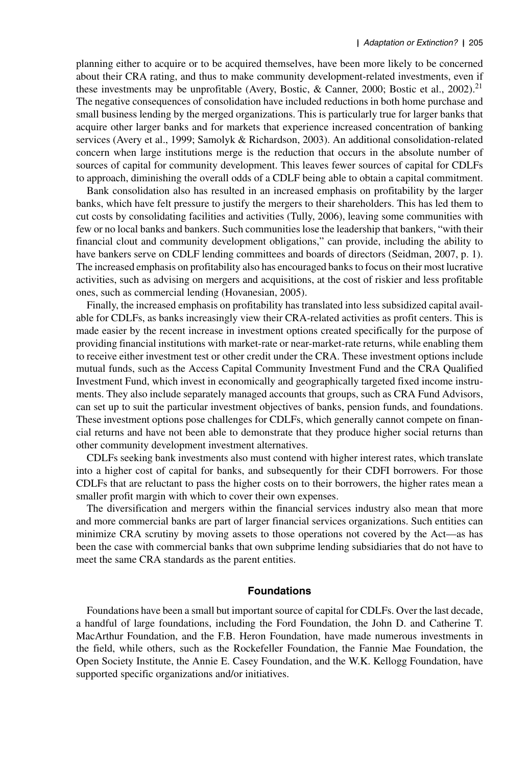planning either to acquire or to be acquired themselves, have been more likely to be concerned about their CRA rating, and thus to make community development-related investments, even if these investments may be unprofitable (Avery, Bostic, & Canner, 2000; Bostic et al., 2002).<sup>21</sup> The negative consequences of consolidation have included reductions in both home purchase and small business lending by the merged organizations. This is particularly true for larger banks that acquire other larger banks and for markets that experience increased concentration of banking services (Avery et al., 1999; Samolyk & Richardson, 2003). An additional consolidation-related concern when large institutions merge is the reduction that occurs in the absolute number of sources of capital for community development. This leaves fewer sources of capital for CDLFs to approach, diminishing the overall odds of a CDLF being able to obtain a capital commitment.

Bank consolidation also has resulted in an increased emphasis on profitability by the larger banks, which have felt pressure to justify the mergers to their shareholders. This has led them to cut costs by consolidating facilities and activities (Tully, 2006), leaving some communities with few or no local banks and bankers. Such communities lose the leadership that bankers, "with their financial clout and community development obligations," can provide, including the ability to have bankers serve on CDLF lending committees and boards of directors (Seidman, 2007, p. 1). The increased emphasis on profitability also has encouraged banks to focus on their most lucrative activities, such as advising on mergers and acquisitions, at the cost of riskier and less profitable ones, such as commercial lending (Hovanesian, 2005).

Finally, the increased emphasis on profitability has translated into less subsidized capital available for CDLFs, as banks increasingly view their CRA-related activities as profit centers. This is made easier by the recent increase in investment options created specifically for the purpose of providing financial institutions with market-rate or near-market-rate returns, while enabling them to receive either investment test or other credit under the CRA. These investment options include mutual funds, such as the Access Capital Community Investment Fund and the CRA Qualified Investment Fund, which invest in economically and geographically targeted fixed income instruments. They also include separately managed accounts that groups, such as CRA Fund Advisors, can set up to suit the particular investment objectives of banks, pension funds, and foundations. These investment options pose challenges for CDLFs, which generally cannot compete on financial returns and have not been able to demonstrate that they produce higher social returns than other community development investment alternatives.

CDLFs seeking bank investments also must contend with higher interest rates, which translate into a higher cost of capital for banks, and subsequently for their CDFI borrowers. For those CDLFs that are reluctant to pass the higher costs on to their borrowers, the higher rates mean a smaller profit margin with which to cover their own expenses.

The diversification and mergers within the financial services industry also mean that more and more commercial banks are part of larger financial services organizations. Such entities can minimize CRA scrutiny by moving assets to those operations not covered by the Act—as has been the case with commercial banks that own subprime lending subsidiaries that do not have to meet the same CRA standards as the parent entities.

## **Foundations**

Foundations have been a small but important source of capital for CDLFs. Over the last decade, a handful of large foundations, including the Ford Foundation, the John D. and Catherine T. MacArthur Foundation, and the F.B. Heron Foundation, have made numerous investments in the field, while others, such as the Rockefeller Foundation, the Fannie Mae Foundation, the Open Society Institute, the Annie E. Casey Foundation, and the W.K. Kellogg Foundation, have supported specific organizations and/or initiatives.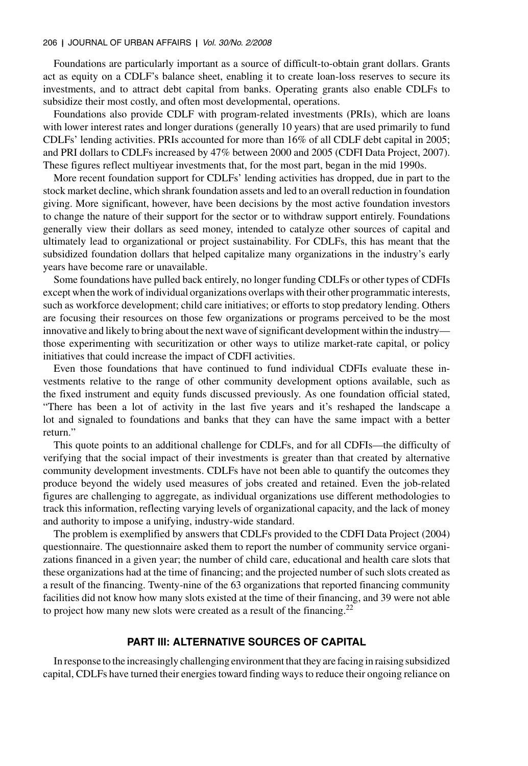Foundations are particularly important as a source of difficult-to-obtain grant dollars. Grants act as equity on a CDLF's balance sheet, enabling it to create loan-loss reserves to secure its investments, and to attract debt capital from banks. Operating grants also enable CDLFs to subsidize their most costly, and often most developmental, operations.

Foundations also provide CDLF with program-related investments (PRIs), which are loans with lower interest rates and longer durations (generally 10 years) that are used primarily to fund CDLFs' lending activities. PRIs accounted for more than 16% of all CDLF debt capital in 2005; and PRI dollars to CDLFs increased by 47% between 2000 and 2005 (CDFI Data Project, 2007). These figures reflect multiyear investments that, for the most part, began in the mid 1990s.

More recent foundation support for CDLFs' lending activities has dropped, due in part to the stock market decline, which shrank foundation assets and led to an overall reduction in foundation giving. More significant, however, have been decisions by the most active foundation investors to change the nature of their support for the sector or to withdraw support entirely. Foundations generally view their dollars as seed money, intended to catalyze other sources of capital and ultimately lead to organizational or project sustainability. For CDLFs, this has meant that the subsidized foundation dollars that helped capitalize many organizations in the industry's early years have become rare or unavailable.

Some foundations have pulled back entirely, no longer funding CDLFs or other types of CDFIs except when the work of individual organizations overlaps with their other programmatic interests, such as workforce development; child care initiatives; or efforts to stop predatory lending. Others are focusing their resources on those few organizations or programs perceived to be the most innovative and likely to bring about the next wave of significant development within the industry those experimenting with securitization or other ways to utilize market-rate capital, or policy initiatives that could increase the impact of CDFI activities.

Even those foundations that have continued to fund individual CDFIs evaluate these investments relative to the range of other community development options available, such as the fixed instrument and equity funds discussed previously. As one foundation official stated, "There has been a lot of activity in the last five years and it's reshaped the landscape a lot and signaled to foundations and banks that they can have the same impact with a better return."

This quote points to an additional challenge for CDLFs, and for all CDFIs—the difficulty of verifying that the social impact of their investments is greater than that created by alternative community development investments. CDLFs have not been able to quantify the outcomes they produce beyond the widely used measures of jobs created and retained. Even the job-related figures are challenging to aggregate, as individual organizations use different methodologies to track this information, reflecting varying levels of organizational capacity, and the lack of money and authority to impose a unifying, industry-wide standard.

The problem is exemplified by answers that CDLFs provided to the CDFI Data Project (2004) questionnaire. The questionnaire asked them to report the number of community service organizations financed in a given year; the number of child care, educational and health care slots that these organizations had at the time of financing; and the projected number of such slots created as a result of the financing. Twenty-nine of the 63 organizations that reported financing community facilities did not know how many slots existed at the time of their financing, and 39 were not able to project how many new slots were created as a result of the financing. $^{22}$ 

# **PART III: ALTERNATIVE SOURCES OF CAPITAL**

In response to the increasingly challenging environment that they are facing in raising subsidized capital, CDLFs have turned their energies toward finding ways to reduce their ongoing reliance on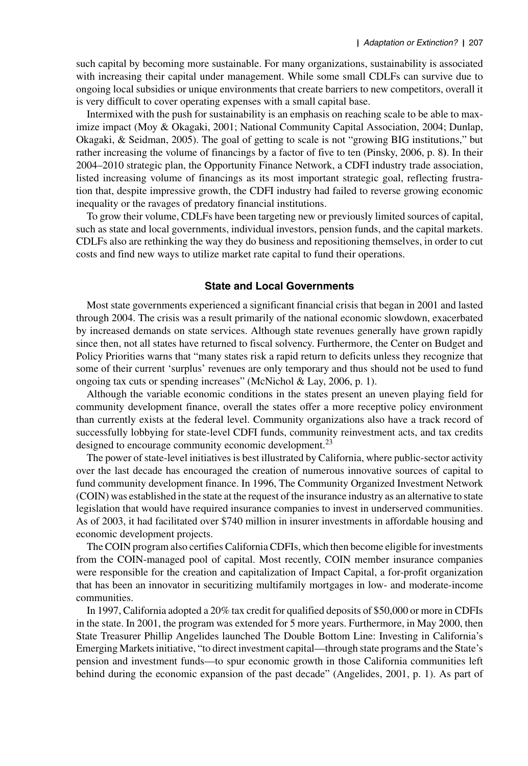such capital by becoming more sustainable. For many organizations, sustainability is associated with increasing their capital under management. While some small CDLFs can survive due to ongoing local subsidies or unique environments that create barriers to new competitors, overall it is very difficult to cover operating expenses with a small capital base.

Intermixed with the push for sustainability is an emphasis on reaching scale to be able to maximize impact (Moy & Okagaki, 2001; National Community Capital Association, 2004; Dunlap, Okagaki, & Seidman, 2005). The goal of getting to scale is not "growing BIG institutions," but rather increasing the volume of financings by a factor of five to ten (Pinsky, 2006, p. 8**)**. In their 2004–2010 strategic plan, the Opportunity Finance Network, a CDFI industry trade association, listed increasing volume of financings as its most important strategic goal, reflecting frustration that, despite impressive growth, the CDFI industry had failed to reverse growing economic inequality or the ravages of predatory financial institutions.

To grow their volume, CDLFs have been targeting new or previously limited sources of capital, such as state and local governments, individual investors, pension funds, and the capital markets. CDLFs also are rethinking the way they do business and repositioning themselves, in order to cut costs and find new ways to utilize market rate capital to fund their operations.

# **State and Local Governments**

Most state governments experienced a significant financial crisis that began in 2001 and lasted through 2004. The crisis was a result primarily of the national economic slowdown, exacerbated by increased demands on state services. Although state revenues generally have grown rapidly since then, not all states have returned to fiscal solvency. Furthermore, the Center on Budget and Policy Priorities warns that "many states risk a rapid return to deficits unless they recognize that some of their current 'surplus' revenues are only temporary and thus should not be used to fund ongoing tax cuts or spending increases" (McNichol & Lay, 2006, p. 1).

Although the variable economic conditions in the states present an uneven playing field for community development finance, overall the states offer a more receptive policy environment than currently exists at the federal level. Community organizations also have a track record of successfully lobbying for state-level CDFI funds, community reinvestment acts, and tax credits designed to encourage community economic development.<sup>23</sup>

The power of state-level initiatives is best illustrated by California, where public-sector activity over the last decade has encouraged the creation of numerous innovative sources of capital to fund community development finance. In 1996, The Community Organized Investment Network (COIN) was established in the state at the request of the insurance industry as an alternative to state legislation that would have required insurance companies to invest in underserved communities. As of 2003, it had facilitated over \$740 million in insurer investments in affordable housing and economic development projects.

The COIN program also certifies California CDFIs, which then become eligible for investments from the COIN-managed pool of capital. Most recently, COIN member insurance companies were responsible for the creation and capitalization of Impact Capital, a for-profit organization that has been an innovator in securitizing multifamily mortgages in low- and moderate-income communities.

In 1997, California adopted a 20% tax credit for qualified deposits of \$50,000 or more in CDFIs in the state. In 2001, the program was extended for 5 more years. Furthermore, in May 2000, then State Treasurer Phillip Angelides launched The Double Bottom Line: Investing in California's Emerging Markets initiative, "to direct investment capital—through state programs and the State's pension and investment funds—to spur economic growth in those California communities left behind during the economic expansion of the past decade" (Angelides, 2001, p. 1). As part of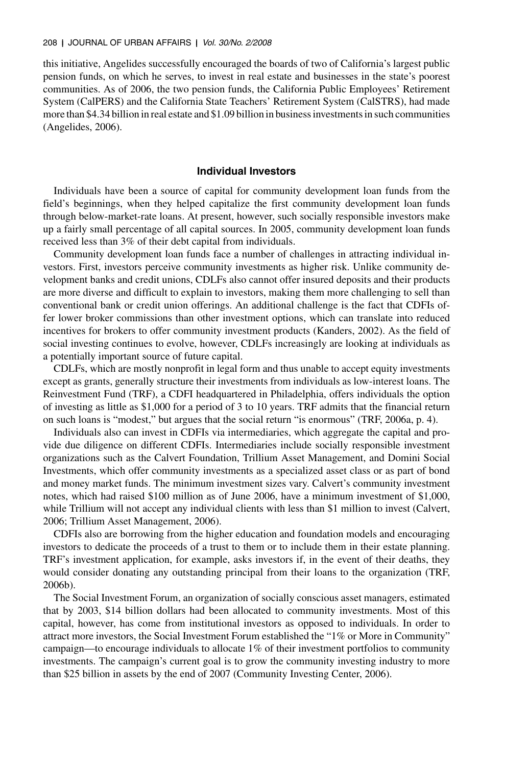this initiative, Angelides successfully encouraged the boards of two of California's largest public pension funds, on which he serves, to invest in real estate and businesses in the state's poorest communities. As of 2006, the two pension funds, the California Public Employees' Retirement System (CalPERS) and the California State Teachers' Retirement System (CalSTRS), had made more than \$4.34 billion in real estate and \$1.09 billion in business investments in such communities (Angelides, 2006).

# **Individual Investors**

Individuals have been a source of capital for community development loan funds from the field's beginnings, when they helped capitalize the first community development loan funds through below-market-rate loans. At present, however, such socially responsible investors make up a fairly small percentage of all capital sources. In 2005, community development loan funds received less than 3% of their debt capital from individuals.

Community development loan funds face a number of challenges in attracting individual investors. First, investors perceive community investments as higher risk. Unlike community development banks and credit unions, CDLFs also cannot offer insured deposits and their products are more diverse and difficult to explain to investors, making them more challenging to sell than conventional bank or credit union offerings. An additional challenge is the fact that CDFIs offer lower broker commissions than other investment options, which can translate into reduced incentives for brokers to offer community investment products (Kanders, 2002). As the field of social investing continues to evolve, however, CDLFs increasingly are looking at individuals as a potentially important source of future capital.

CDLFs, which are mostly nonprofit in legal form and thus unable to accept equity investments except as grants, generally structure their investments from individuals as low-interest loans. The Reinvestment Fund (TRF), a CDFI headquartered in Philadelphia, offers individuals the option of investing as little as \$1,000 for a period of 3 to 10 years. TRF admits that the financial return on such loans is "modest," but argues that the social return "is enormous" (TRF, 2006a, p. 4).

Individuals also can invest in CDFIs via intermediaries, which aggregate the capital and provide due diligence on different CDFIs. Intermediaries include socially responsible investment organizations such as the Calvert Foundation, Trillium Asset Management, and Domini Social Investments, which offer community investments as a specialized asset class or as part of bond and money market funds. The minimum investment sizes vary. Calvert's community investment notes, which had raised \$100 million as of June 2006, have a minimum investment of \$1,000, while Trillium will not accept any individual clients with less than \$1 million to invest (Calvert, 2006; Trillium Asset Management, 2006).

CDFIs also are borrowing from the higher education and foundation models and encouraging investors to dedicate the proceeds of a trust to them or to include them in their estate planning. TRF's investment application, for example, asks investors if, in the event of their deaths, they would consider donating any outstanding principal from their loans to the organization (TRF, 2006b).

The Social Investment Forum, an organization of socially conscious asset managers, estimated that by 2003, \$14 billion dollars had been allocated to community investments. Most of this capital, however, has come from institutional investors as opposed to individuals. In order to attract more investors, the Social Investment Forum established the "1% or More in Community" campaign—to encourage individuals to allocate 1% of their investment portfolios to community investments. The campaign's current goal is to grow the community investing industry to more than \$25 billion in assets by the end of 2007 (Community Investing Center, 2006).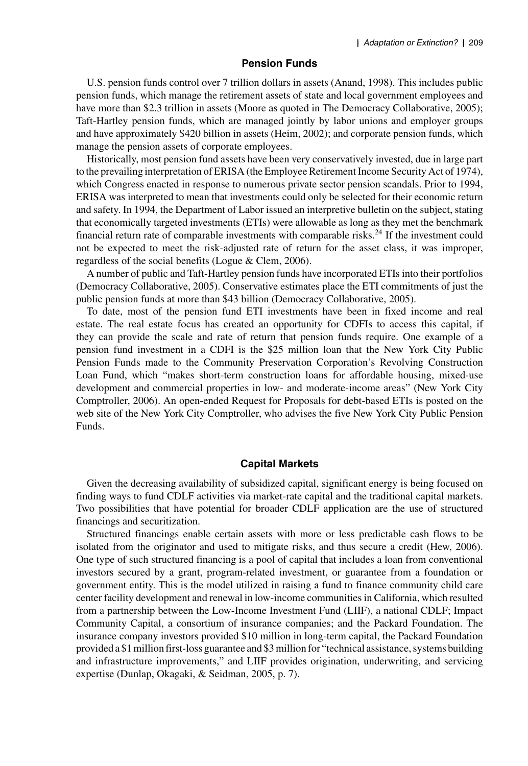# **Pension Funds**

U.S. pension funds control over 7 trillion dollars in assets (Anand, 1998). This includes public pension funds, which manage the retirement assets of state and local government employees and have more than \$2.3 trillion in assets (Moore as quoted in The Democracy Collaborative, 2005); Taft-Hartley pension funds, which are managed jointly by labor unions and employer groups and have approximately \$420 billion in assets (Heim, 2002); and corporate pension funds, which manage the pension assets of corporate employees.

Historically, most pension fund assets have been very conservatively invested, due in large part to the prevailing interpretation of ERISA (the Employee Retirement Income Security Act of 1974), which Congress enacted in response to numerous private sector pension scandals. Prior to 1994, ERISA was interpreted to mean that investments could only be selected for their economic return and safety. In 1994, the Department of Labor issued an interpretive bulletin on the subject, stating that economically targeted investments (ETIs) were allowable as long as they met the benchmark financial return rate of comparable investments with comparable risks.<sup>24</sup> If the investment could not be expected to meet the risk-adjusted rate of return for the asset class, it was improper, regardless of the social benefits (Logue & Clem, 2006).

A number of public and Taft-Hartley pension funds have incorporated ETIs into their portfolios (Democracy Collaborative, 2005). Conservative estimates place the ETI commitments of just the public pension funds at more than \$43 billion (Democracy Collaborative, 2005).

To date, most of the pension fund ETI investments have been in fixed income and real estate. The real estate focus has created an opportunity for CDFIs to access this capital, if they can provide the scale and rate of return that pension funds require. One example of a pension fund investment in a CDFI is the \$25 million loan that the New York City Public Pension Funds made to the Community Preservation Corporation's Revolving Construction Loan Fund, which "makes short-term construction loans for affordable housing, mixed-use development and commercial properties in low- and moderate-income areas" (New York City Comptroller, 2006). An open-ended Request for Proposals for debt-based ETIs is posted on the web site of the New York City Comptroller, who advises the five New York City Public Pension Funds.

# **Capital Markets**

Given the decreasing availability of subsidized capital, significant energy is being focused on finding ways to fund CDLF activities via market-rate capital and the traditional capital markets. Two possibilities that have potential for broader CDLF application are the use of structured financings and securitization.

Structured financings enable certain assets with more or less predictable cash flows to be isolated from the originator and used to mitigate risks, and thus secure a credit (Hew, 2006). One type of such structured financing is a pool of capital that includes a loan from conventional investors secured by a grant, program-related investment, or guarantee from a foundation or government entity. This is the model utilized in raising a fund to finance community child care center facility development and renewal in low-income communities in California, which resulted from a partnership between the Low-Income Investment Fund (LIIF), a national CDLF; Impact Community Capital, a consortium of insurance companies; and the Packard Foundation. The insurance company investors provided \$10 million in long-term capital, the Packard Foundation provided a \$1 million first-loss guarantee and \$3 million for "technical assistance, systems building and infrastructure improvements," and LIIF provides origination, underwriting, and servicing expertise (Dunlap, Okagaki, & Seidman, 2005, p. 7).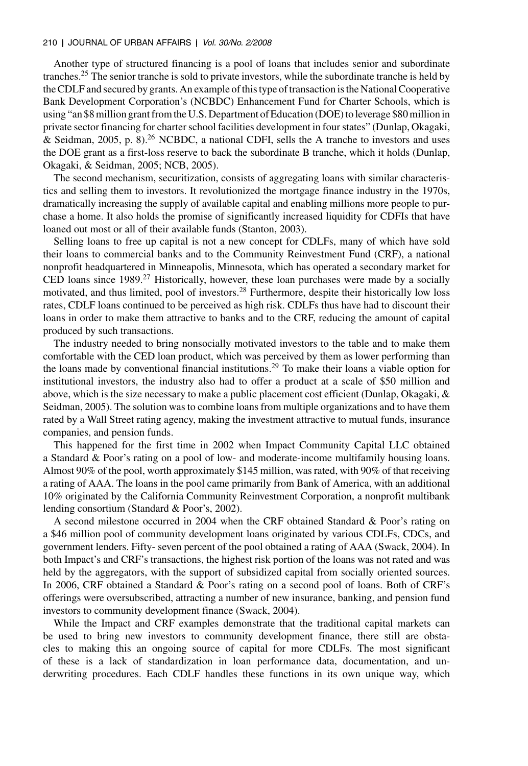Another type of structured financing is a pool of loans that includes senior and subordinate tranches.<sup>25</sup> The senior tranche is sold to private investors, while the subordinate tranche is held by the CDLF and secured by grants. An example of this type of transaction is the National Cooperative Bank Development Corporation's (NCBDC) Enhancement Fund for Charter Schools, which is using "an \$8 million grant from the U.S. Department of Education (DOE) to leverage \$80 million in private sector financing for charter school facilities development in four states" (Dunlap, Okagaki, & Seidman, 2005, p. 8).<sup>26</sup> NCBDC, a national CDFI, sells the A tranche to investors and uses the DOE grant as a first-loss reserve to back the subordinate B tranche, which it holds (Dunlap, Okagaki, & Seidman, 2005; NCB, 2005).

The second mechanism, securitization, consists of aggregating loans with similar characteristics and selling them to investors. It revolutionized the mortgage finance industry in the 1970s, dramatically increasing the supply of available capital and enabling millions more people to purchase a home. It also holds the promise of significantly increased liquidity for CDFIs that have loaned out most or all of their available funds (Stanton, 2003).

Selling loans to free up capital is not a new concept for CDLFs, many of which have sold their loans to commercial banks and to the Community Reinvestment Fund (CRF), a national nonprofit headquartered in Minneapolis, Minnesota, which has operated a secondary market for CED loans since 1989.27 Historically, however, these loan purchases were made by a socially motivated, and thus limited, pool of investors.<sup>28</sup> Furthermore, despite their historically low loss rates, CDLF loans continued to be perceived as high risk. CDLFs thus have had to discount their loans in order to make them attractive to banks and to the CRF, reducing the amount of capital produced by such transactions.

The industry needed to bring nonsocially motivated investors to the table and to make them comfortable with the CED loan product, which was perceived by them as lower performing than the loans made by conventional financial institutions.<sup>29</sup> To make their loans a viable option for institutional investors, the industry also had to offer a product at a scale of \$50 million and above, which is the size necessary to make a public placement cost efficient (Dunlap, Okagaki, & Seidman, 2005). The solution was to combine loans from multiple organizations and to have them rated by a Wall Street rating agency, making the investment attractive to mutual funds, insurance companies, and pension funds.

This happened for the first time in 2002 when Impact Community Capital LLC obtained a Standard & Poor's rating on a pool of low- and moderate-income multifamily housing loans. Almost 90% of the pool, worth approximately \$145 million, was rated, with 90% of that receiving a rating of AAA. The loans in the pool came primarily from Bank of America, with an additional 10% originated by the California Community Reinvestment Corporation, a nonprofit multibank lending consortium (Standard & Poor's, 2002).

A second milestone occurred in 2004 when the CRF obtained Standard & Poor's rating on a \$46 million pool of community development loans originated by various CDLFs, CDCs, and government lenders. Fifty- seven percent of the pool obtained a rating of AAA (Swack, 2004). In both Impact's and CRF's transactions, the highest risk portion of the loans was not rated and was held by the aggregators, with the support of subsidized capital from socially oriented sources. In 2006, CRF obtained a Standard & Poor's rating on a second pool of loans. Both of CRF's offerings were oversubscribed, attracting a number of new insurance, banking, and pension fund investors to community development finance (Swack, 2004).

While the Impact and CRF examples demonstrate that the traditional capital markets can be used to bring new investors to community development finance, there still are obstacles to making this an ongoing source of capital for more CDLFs. The most significant of these is a lack of standardization in loan performance data, documentation, and underwriting procedures. Each CDLF handles these functions in its own unique way, which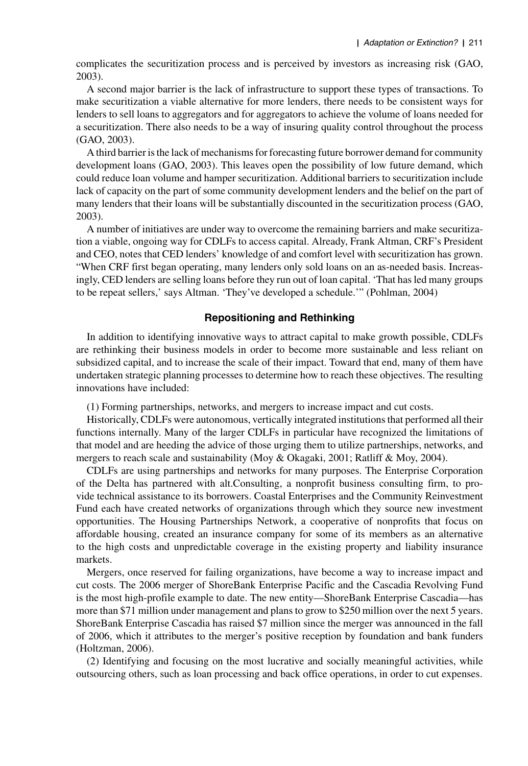complicates the securitization process and is perceived by investors as increasing risk (GAO, 2003).

A second major barrier is the lack of infrastructure to support these types of transactions. To make securitization a viable alternative for more lenders, there needs to be consistent ways for lenders to sell loans to aggregators and for aggregators to achieve the volume of loans needed for a securitization. There also needs to be a way of insuring quality control throughout the process (GAO, 2003).

A third barrier is the lack of mechanisms for forecasting future borrower demand for community development loans (GAO, 2003). This leaves open the possibility of low future demand, which could reduce loan volume and hamper securitization. Additional barriers to securitization include lack of capacity on the part of some community development lenders and the belief on the part of many lenders that their loans will be substantially discounted in the securitization process (GAO, 2003).

A number of initiatives are under way to overcome the remaining barriers and make securitization a viable, ongoing way for CDLFs to access capital. Already, Frank Altman, CRF's President and CEO, notes that CED lenders' knowledge of and comfort level with securitization has grown. "When CRF first began operating, many lenders only sold loans on an as-needed basis. Increasingly, CED lenders are selling loans before they run out of loan capital. 'That has led many groups to be repeat sellers,' says Altman. 'They've developed a schedule.'" (Pohlman, 2004)

# **Repositioning and Rethinking**

In addition to identifying innovative ways to attract capital to make growth possible, CDLFs are rethinking their business models in order to become more sustainable and less reliant on subsidized capital, and to increase the scale of their impact. Toward that end, many of them have undertaken strategic planning processes to determine how to reach these objectives. The resulting innovations have included:

(1) Forming partnerships, networks, and mergers to increase impact and cut costs.

Historically, CDLFs were autonomous, vertically integrated institutions that performed all their functions internally. Many of the larger CDLFs in particular have recognized the limitations of that model and are heeding the advice of those urging them to utilize partnerships, networks, and mergers to reach scale and sustainability (Moy & Okagaki, 2001; Ratliff & Moy, 2004).

CDLFs are using partnerships and networks for many purposes. The Enterprise Corporation of the Delta has partnered with alt.Consulting, a nonprofit business consulting firm, to provide technical assistance to its borrowers. Coastal Enterprises and the Community Reinvestment Fund each have created networks of organizations through which they source new investment opportunities. The Housing Partnerships Network, a cooperative of nonprofits that focus on affordable housing, created an insurance company for some of its members as an alternative to the high costs and unpredictable coverage in the existing property and liability insurance markets.

Mergers, once reserved for failing organizations, have become a way to increase impact and cut costs. The 2006 merger of ShoreBank Enterprise Pacific and the Cascadia Revolving Fund is the most high-profile example to date. The new entity—ShoreBank Enterprise Cascadia—has more than \$71 million under management and plans to grow to \$250 million over the next 5 years. ShoreBank Enterprise Cascadia has raised \$7 million since the merger was announced in the fall of 2006, which it attributes to the merger's positive reception by foundation and bank funders (Holtzman, 2006).

(2) Identifying and focusing on the most lucrative and socially meaningful activities, while outsourcing others, such as loan processing and back office operations, in order to cut expenses.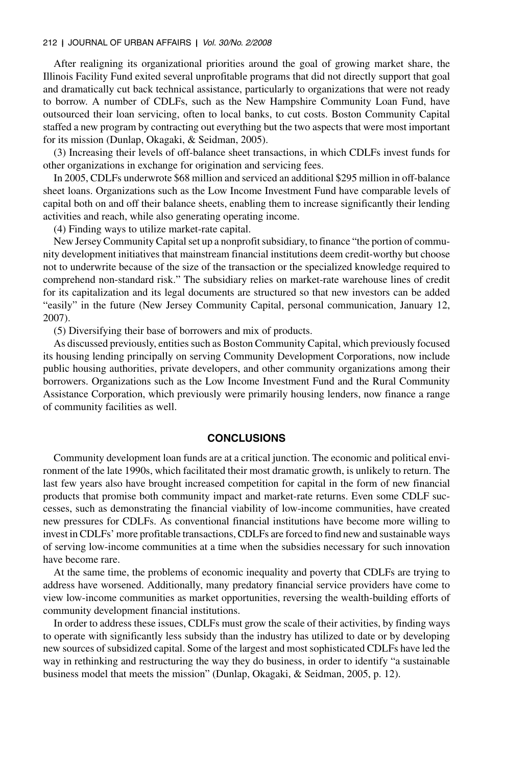After realigning its organizational priorities around the goal of growing market share, the Illinois Facility Fund exited several unprofitable programs that did not directly support that goal and dramatically cut back technical assistance, particularly to organizations that were not ready to borrow. A number of CDLFs, such as the New Hampshire Community Loan Fund, have outsourced their loan servicing, often to local banks, to cut costs. Boston Community Capital staffed a new program by contracting out everything but the two aspects that were most important for its mission (Dunlap, Okagaki, & Seidman, 2005).

(3) Increasing their levels of off-balance sheet transactions, in which CDLFs invest funds for other organizations in exchange for origination and servicing fees.

In 2005, CDLFs underwrote \$68 million and serviced an additional \$295 million in off-balance sheet loans. Organizations such as the Low Income Investment Fund have comparable levels of capital both on and off their balance sheets, enabling them to increase significantly their lending activities and reach, while also generating operating income.

(4) Finding ways to utilize market-rate capital.

New Jersey Community Capital set up a nonprofit subsidiary, to finance "the portion of community development initiatives that mainstream financial institutions deem credit-worthy but choose not to underwrite because of the size of the transaction or the specialized knowledge required to comprehend non-standard risk." The subsidiary relies on market-rate warehouse lines of credit for its capitalization and its legal documents are structured so that new investors can be added "easily" in the future (New Jersey Community Capital, personal communication, January 12, 2007).

(5) Diversifying their base of borrowers and mix of products.

As discussed previously, entities such as Boston Community Capital, which previously focused its housing lending principally on serving Community Development Corporations, now include public housing authorities, private developers, and other community organizations among their borrowers. Organizations such as the Low Income Investment Fund and the Rural Community Assistance Corporation, which previously were primarily housing lenders, now finance a range of community facilities as well.

## **CONCLUSIONS**

Community development loan funds are at a critical junction. The economic and political environment of the late 1990s, which facilitated their most dramatic growth, is unlikely to return. The last few years also have brought increased competition for capital in the form of new financial products that promise both community impact and market-rate returns. Even some CDLF successes, such as demonstrating the financial viability of low-income communities, have created new pressures for CDLFs. As conventional financial institutions have become more willing to invest in CDLFs' more profitable transactions, CDLFs are forced to find new and sustainable ways of serving low-income communities at a time when the subsidies necessary for such innovation have become rare.

At the same time, the problems of economic inequality and poverty that CDLFs are trying to address have worsened. Additionally, many predatory financial service providers have come to view low-income communities as market opportunities, reversing the wealth-building efforts of community development financial institutions.

In order to address these issues, CDLFs must grow the scale of their activities, by finding ways to operate with significantly less subsidy than the industry has utilized to date or by developing new sources of subsidized capital. Some of the largest and most sophisticated CDLFs have led the way in rethinking and restructuring the way they do business, in order to identify "a sustainable business model that meets the mission" (Dunlap, Okagaki, & Seidman, 2005, p. 12).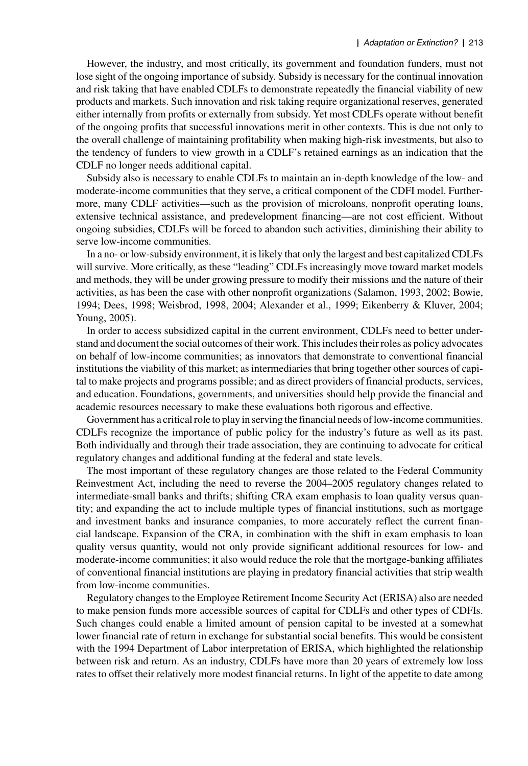However, the industry, and most critically, its government and foundation funders, must not lose sight of the ongoing importance of subsidy. Subsidy is necessary for the continual innovation and risk taking that have enabled CDLFs to demonstrate repeatedly the financial viability of new products and markets. Such innovation and risk taking require organizational reserves, generated either internally from profits or externally from subsidy. Yet most CDLFs operate without benefit of the ongoing profits that successful innovations merit in other contexts. This is due not only to the overall challenge of maintaining profitability when making high-risk investments, but also to the tendency of funders to view growth in a CDLF's retained earnings as an indication that the CDLF no longer needs additional capital.

Subsidy also is necessary to enable CDLFs to maintain an in-depth knowledge of the low- and moderate-income communities that they serve, a critical component of the CDFI model. Furthermore, many CDLF activities—such as the provision of microloans, nonprofit operating loans, extensive technical assistance, and predevelopment financing—are not cost efficient. Without ongoing subsidies, CDLFs will be forced to abandon such activities, diminishing their ability to serve low-income communities.

In a no- or low-subsidy environment, it is likely that only the largest and best capitalized CDLFs will survive. More critically, as these "leading" CDLFs increasingly move toward market models and methods, they will be under growing pressure to modify their missions and the nature of their activities, as has been the case with other nonprofit organizations (Salamon, 1993, 2002; Bowie, 1994; Dees, 1998; Weisbrod, 1998, 2004; Alexander et al., 1999; Eikenberry & Kluver, 2004; Young, 2005).

In order to access subsidized capital in the current environment, CDLFs need to better understand and document the social outcomes of their work. This includes their roles as policy advocates on behalf of low-income communities; as innovators that demonstrate to conventional financial institutions the viability of this market; as intermediaries that bring together other sources of capital to make projects and programs possible; and as direct providers of financial products, services, and education. Foundations, governments, and universities should help provide the financial and academic resources necessary to make these evaluations both rigorous and effective.

Government has a critical role to play in serving the financial needs of low-income communities. CDLFs recognize the importance of public policy for the industry's future as well as its past. Both individually and through their trade association, they are continuing to advocate for critical regulatory changes and additional funding at the federal and state levels.

The most important of these regulatory changes are those related to the Federal Community Reinvestment Act, including the need to reverse the 2004–2005 regulatory changes related to intermediate-small banks and thrifts; shifting CRA exam emphasis to loan quality versus quantity; and expanding the act to include multiple types of financial institutions, such as mortgage and investment banks and insurance companies, to more accurately reflect the current financial landscape. Expansion of the CRA, in combination with the shift in exam emphasis to loan quality versus quantity, would not only provide significant additional resources for low- and moderate-income communities; it also would reduce the role that the mortgage-banking affiliates of conventional financial institutions are playing in predatory financial activities that strip wealth from low-income communities.

Regulatory changes to the Employee Retirement Income Security Act (ERISA) also are needed to make pension funds more accessible sources of capital for CDLFs and other types of CDFIs. Such changes could enable a limited amount of pension capital to be invested at a somewhat lower financial rate of return in exchange for substantial social benefits. This would be consistent with the 1994 Department of Labor interpretation of ERISA, which highlighted the relationship between risk and return. As an industry, CDLFs have more than 20 years of extremely low loss rates to offset their relatively more modest financial returns. In light of the appetite to date among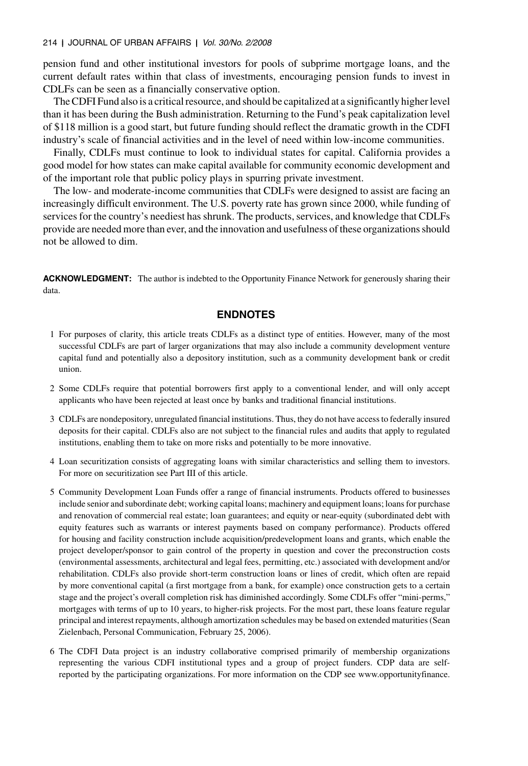pension fund and other institutional investors for pools of subprime mortgage loans, and the current default rates within that class of investments, encouraging pension funds to invest in CDLFs can be seen as a financially conservative option.

The CDFI Fund also is a critical resource, and should be capitalized at a significantly higher level than it has been during the Bush administration. Returning to the Fund's peak capitalization level of \$118 million is a good start, but future funding should reflect the dramatic growth in the CDFI industry's scale of financial activities and in the level of need within low-income communities.

Finally, CDLFs must continue to look to individual states for capital. California provides a good model for how states can make capital available for community economic development and of the important role that public policy plays in spurring private investment.

The low- and moderate-income communities that CDLFs were designed to assist are facing an increasingly difficult environment. The U.S. poverty rate has grown since 2000, while funding of services for the country's neediest has shrunk. The products, services, and knowledge that CDLFs provide are needed more than ever, and the innovation and usefulness of these organizations should not be allowed to dim.

**ACKNOWLEDGMENT:** The author is indebted to the Opportunity Finance Network for generously sharing their data.

# **ENDNOTES**

- 1 For purposes of clarity, this article treats CDLFs as a distinct type of entities. However, many of the most successful CDLFs are part of larger organizations that may also include a community development venture capital fund and potentially also a depository institution, such as a community development bank or credit union.
- 2 Some CDLFs require that potential borrowers first apply to a conventional lender, and will only accept applicants who have been rejected at least once by banks and traditional financial institutions.
- 3 CDLFs are nondepository, unregulated financial institutions. Thus, they do not have access to federally insured deposits for their capital. CDLFs also are not subject to the financial rules and audits that apply to regulated institutions, enabling them to take on more risks and potentially to be more innovative.
- 4 Loan securitization consists of aggregating loans with similar characteristics and selling them to investors. For more on securitization see Part III of this article.
- 5 Community Development Loan Funds offer a range of financial instruments. Products offered to businesses include senior and subordinate debt; working capital loans; machinery and equipment loans; loans for purchase and renovation of commercial real estate; loan guarantees; and equity or near-equity (subordinated debt with equity features such as warrants or interest payments based on company performance). Products offered for housing and facility construction include acquisition/predevelopment loans and grants, which enable the project developer/sponsor to gain control of the property in question and cover the preconstruction costs (environmental assessments, architectural and legal fees, permitting, etc.) associated with development and/or rehabilitation. CDLFs also provide short-term construction loans or lines of credit, which often are repaid by more conventional capital (a first mortgage from a bank, for example) once construction gets to a certain stage and the project's overall completion risk has diminished accordingly. Some CDLFs offer "mini-perms," mortgages with terms of up to 10 years, to higher-risk projects. For the most part, these loans feature regular principal and interest repayments, although amortization schedules may be based on extended maturities (Sean Zielenbach, Personal Communication, February 25, 2006).
- 6 The CDFI Data project is an industry collaborative comprised primarily of membership organizations representing the various CDFI institutional types and a group of project funders. CDP data are selfreported by the participating organizations. For more information on the CDP see www.opportunityfinance.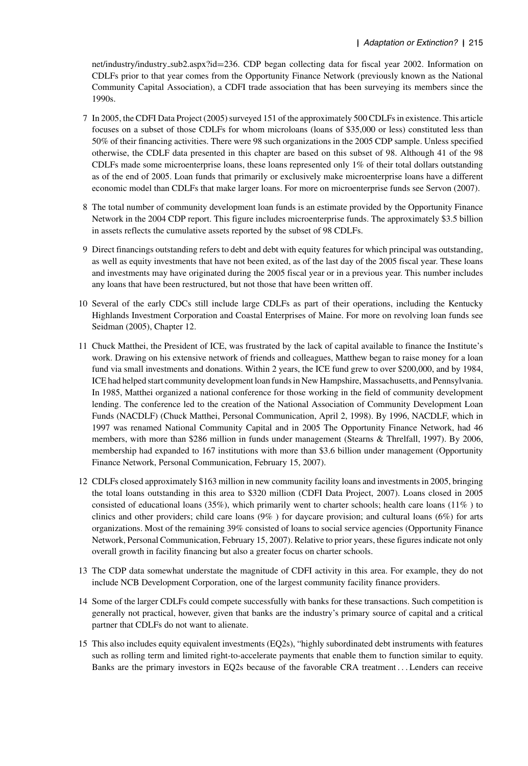net/industry/industry sub2.aspx?id=236. CDP began collecting data for fiscal year 2002. Information on CDLFs prior to that year comes from the Opportunity Finance Network (previously known as the National Community Capital Association), a CDFI trade association that has been surveying its members since the 1990s.

- 7 In 2005, the CDFI Data Project (2005) surveyed 151 of the approximately 500 CDLFs in existence. This article focuses on a subset of those CDLFs for whom microloans (loans of \$35,000 or less) constituted less than 50% of their financing activities. There were 98 such organizations in the 2005 CDP sample. Unless specified otherwise, the CDLF data presented in this chapter are based on this subset of 98. Although 41 of the 98 CDLFs made some microenterprise loans, these loans represented only 1% of their total dollars outstanding as of the end of 2005. Loan funds that primarily or exclusively make microenterprise loans have a different economic model than CDLFs that make larger loans. For more on microenterprise funds see Servon (2007).
- 8 The total number of community development loan funds is an estimate provided by the Opportunity Finance Network in the 2004 CDP report. This figure includes microenterprise funds. The approximately \$3.5 billion in assets reflects the cumulative assets reported by the subset of 98 CDLFs.
- 9 Direct financings outstanding refers to debt and debt with equity features for which principal was outstanding, as well as equity investments that have not been exited, as of the last day of the 2005 fiscal year. These loans and investments may have originated during the 2005 fiscal year or in a previous year. This number includes any loans that have been restructured, but not those that have been written off.
- 10 Several of the early CDCs still include large CDLFs as part of their operations, including the Kentucky Highlands Investment Corporation and Coastal Enterprises of Maine. For more on revolving loan funds see Seidman (2005), Chapter 12.
- 11 Chuck Matthei, the President of ICE, was frustrated by the lack of capital available to finance the Institute's work. Drawing on his extensive network of friends and colleagues, Matthew began to raise money for a loan fund via small investments and donations. Within 2 years, the ICE fund grew to over \$200,000, and by 1984, ICE had helped start community development loan funds in New Hampshire, Massachusetts, and Pennsylvania. In 1985, Matthei organized a national conference for those working in the field of community development lending. The conference led to the creation of the National Association of Community Development Loan Funds (NACDLF) (Chuck Matthei, Personal Communication, April 2, 1998). By 1996, NACDLF, which in 1997 was renamed National Community Capital and in 2005 The Opportunity Finance Network, had 46 members, with more than \$286 million in funds under management (Stearns & Threlfall, 1997). By 2006, membership had expanded to 167 institutions with more than \$3.6 billion under management (Opportunity Finance Network, Personal Communication, February 15, 2007).
- 12 CDLFs closed approximately \$163 million in new community facility loans and investments in 2005, bringing the total loans outstanding in this area to \$320 million (CDFI Data Project, 2007). Loans closed in 2005 consisted of educational loans (35%), which primarily went to charter schools; health care loans (11%) to clinics and other providers; child care loans (9% ) for daycare provision; and cultural loans (6%) for arts organizations. Most of the remaining 39% consisted of loans to social service agencies (Opportunity Finance Network, Personal Communication, February 15, 2007). Relative to prior years, these figures indicate not only overall growth in facility financing but also a greater focus on charter schools.
- 13 The CDP data somewhat understate the magnitude of CDFI activity in this area. For example, they do not include NCB Development Corporation, one of the largest community facility finance providers.
- 14 Some of the larger CDLFs could compete successfully with banks for these transactions. Such competition is generally not practical, however, given that banks are the industry's primary source of capital and a critical partner that CDLFs do not want to alienate.
- 15 This also includes equity equivalent investments (EQ2s), "highly subordinated debt instruments with features such as rolling term and limited right-to-accelerate payments that enable them to function similar to equity. Banks are the primary investors in EQ2s because of the favorable CRA treatment ... Lenders can receive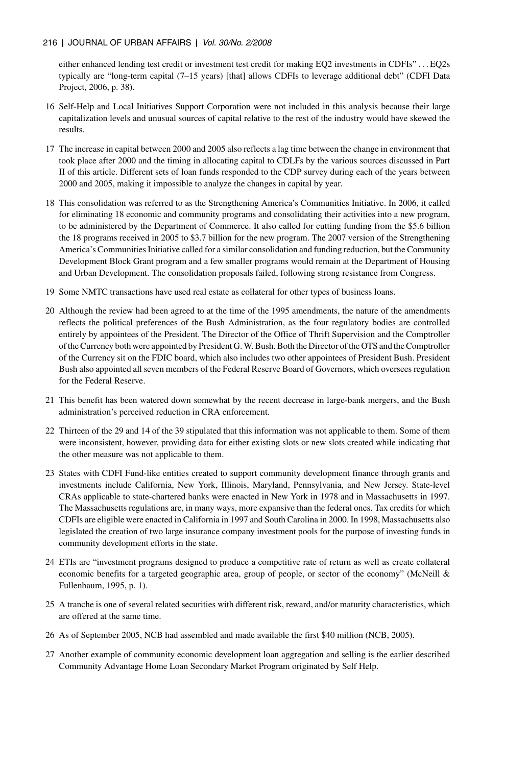either enhanced lending test credit or investment test credit for making EQ2 investments in CDFIs" ... EQ2s typically are "long-term capital (7–15 years) [that] allows CDFIs to leverage additional debt" (CDFI Data Project, 2006, p. 38).

- 16 Self-Help and Local Initiatives Support Corporation were not included in this analysis because their large capitalization levels and unusual sources of capital relative to the rest of the industry would have skewed the results.
- 17 The increase in capital between 2000 and 2005 also reflects a lag time between the change in environment that took place after 2000 and the timing in allocating capital to CDLFs by the various sources discussed in Part II of this article. Different sets of loan funds responded to the CDP survey during each of the years between 2000 and 2005, making it impossible to analyze the changes in capital by year.
- 18 This consolidation was referred to as the Strengthening America's Communities Initiative. In 2006, it called for eliminating 18 economic and community programs and consolidating their activities into a new program, to be administered by the Department of Commerce. It also called for cutting funding from the \$5.6 billion the 18 programs received in 2005 to \$3.7 billion for the new program. The 2007 version of the Strengthening America's Communities Initiative called for a similar consolidation and funding reduction, but the Community Development Block Grant program and a few smaller programs would remain at the Department of Housing and Urban Development. The consolidation proposals failed, following strong resistance from Congress.
- 19 Some NMTC transactions have used real estate as collateral for other types of business loans.
- 20 Although the review had been agreed to at the time of the 1995 amendments, the nature of the amendments reflects the political preferences of the Bush Administration, as the four regulatory bodies are controlled entirely by appointees of the President. The Director of the Office of Thrift Supervision and the Comptroller of the Currency both were appointed by President G. W. Bush. Both the Director of the OTS and the Comptroller of the Currency sit on the FDIC board, which also includes two other appointees of President Bush. President Bush also appointed all seven members of the Federal Reserve Board of Governors, which oversees regulation for the Federal Reserve.
- 21 This benefit has been watered down somewhat by the recent decrease in large-bank mergers, and the Bush administration's perceived reduction in CRA enforcement.
- 22 Thirteen of the 29 and 14 of the 39 stipulated that this information was not applicable to them. Some of them were inconsistent, however, providing data for either existing slots or new slots created while indicating that the other measure was not applicable to them.
- 23 States with CDFI Fund-like entities created to support community development finance through grants and investments include California, New York, Illinois, Maryland, Pennsylvania, and New Jersey. State-level CRAs applicable to state-chartered banks were enacted in New York in 1978 and in Massachusetts in 1997. The Massachusetts regulations are, in many ways, more expansive than the federal ones. Tax credits for which CDFIs are eligible were enacted in California in 1997 and South Carolina in 2000. In 1998, Massachusetts also legislated the creation of two large insurance company investment pools for the purpose of investing funds in community development efforts in the state.
- 24 ETIs are "investment programs designed to produce a competitive rate of return as well as create collateral economic benefits for a targeted geographic area, group of people, or sector of the economy" (McNeill & Fullenbaum, 1995, p. 1).
- 25 A tranche is one of several related securities with different risk, reward, and/or maturity characteristics, which are offered at the same time.
- 26 As of September 2005, NCB had assembled and made available the first \$40 million (NCB, 2005).
- 27 Another example of community economic development loan aggregation and selling is the earlier described Community Advantage Home Loan Secondary Market Program originated by Self Help.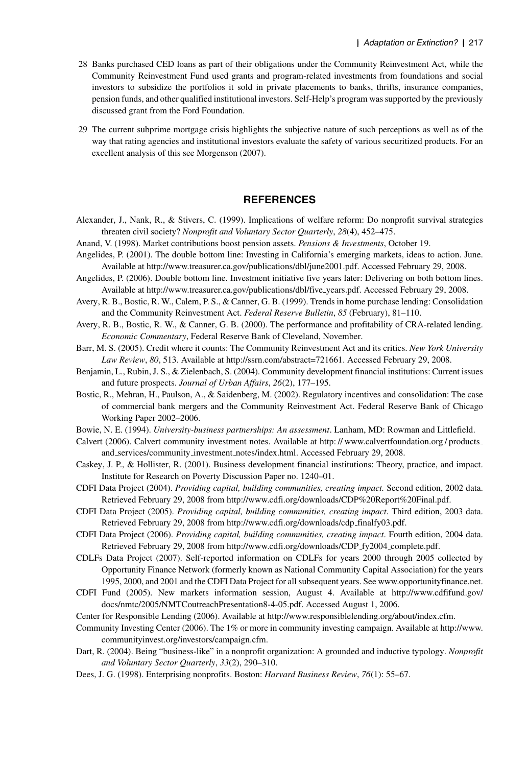- 28 Banks purchased CED loans as part of their obligations under the Community Reinvestment Act, while the Community Reinvestment Fund used grants and program-related investments from foundations and social investors to subsidize the portfolios it sold in private placements to banks, thrifts, insurance companies, pension funds, and other qualified institutional investors. Self-Help's program was supported by the previously discussed grant from the Ford Foundation.
- 29 The current subprime mortgage crisis highlights the subjective nature of such perceptions as well as of the way that rating agencies and institutional investors evaluate the safety of various securitized products. For an excellent analysis of this see Morgenson (2007).

# **REFERENCES**

- Alexander, J., Nank, R., & Stivers, C. (1999). Implications of welfare reform: Do nonprofit survival strategies threaten civil society? *Nonprofit and Voluntary Sector Quarterly*, *28*(4), 452–475.
- Anand, V. (1998). Market contributions boost pension assets. *Pensions & Investments*, October 19.
- Angelides, P. (2001). The double bottom line: Investing in California's emerging markets, ideas to action. June. Available at http://www.treasurer.ca.gov/publications/dbl/june2001.pdf. Accessed February 29, 2008.
- Angelides, P. (2006). Double bottom line. Investment initiative five years later: Delivering on both bottom lines. Available at http://www.treasurer.ca.gov/publications/dbl/five years.pdf. Accessed February 29, 2008.
- Avery, R. B., Bostic, R. W., Calem, P. S., & Canner, G. B. (1999). Trends in home purchase lending: Consolidation and the Community Reinvestment Act. *Federal Reserve Bulletin*, *85* (February), 81–110.
- Avery, R. B., Bostic, R. W., & Canner, G. B. (2000). The performance and profitability of CRA-related lending. *Economic Commentary*, Federal Reserve Bank of Cleveland, November.
- Barr, M. S. (2005). Credit where it counts: The Community Reinvestment Act and its critics. *New York University Law Review*, *80*, 513. Available at http://ssrn.com/abstract=721661. Accessed February 29, 2008.
- Benjamin, L., Rubin, J. S., & Zielenbach, S. (2004). Community development financial institutions: Current issues and future prospects. *Journal of Urban Affairs*, *26*(2), 177–195.
- Bostic, R., Mehran, H., Paulson, A., & Saidenberg, M. (2002). Regulatory incentives and consolidation: The case of commercial bank mergers and the Community Reinvestment Act. Federal Reserve Bank of Chicago Working Paper 2002–2006.
- Bowie, N. E. (1994). *University-business partnerships: An assessment*. Lanham, MD: Rowman and Littlefield.
- Calvert (2006). Calvert community investment notes. Available at http: // www.calvertfoundation.org / products and services/community investment notes/index.html. Accessed February 29, 2008.
- Caskey, J. P., & Hollister, R. (2001). Business development financial institutions: Theory, practice, and impact. Institute for Research on Poverty Discussion Paper no. 1240–01.
- CDFI Data Project (2004). *Providing capital, building communities, creating impact.* Second edition, 2002 data. Retrieved February 29, 2008 from http://www.cdfi.org/downloads/CDP%20Report%20Final.pdf.
- CDFI Data Project (2005). *Providing capital, building communities, creating impact*. Third edition, 2003 data. Retrieved February 29, 2008 from http://www.cdfi.org/downloads/cdp finalfy03.pdf.
- CDFI Data Project (2006). *Providing capital, building communities, creating impact*. Fourth edition, 2004 data. Retrieved February 29, 2008 from http://www.cdfi.org/downloads/CDP fy2004 complete.pdf.
- CDLFs Data Project (2007). Self-reported information on CDLFs for years 2000 through 2005 collected by Opportunity Finance Network (formerly known as National Community Capital Association) for the years 1995, 2000, and 2001 and the CDFI Data Project for all subsequent years. See www.opportunityfinance.net.
- CDFI Fund (2005). New markets information session, August 4. Available at http://www.cdfifund.gov/ docs/nmtc/2005/NMTCoutreachPresentation8-4-05.pdf. Accessed August 1, 2006.

Center for Responsible Lending (2006). Available at http://www.responsiblelending.org/about/index.cfm.

- Community Investing Center (2006). The 1% or more in community investing campaign. Available at http://www. communityinvest.org/investors/campaign.cfm.
- Dart, R. (2004). Being "business-like" in a nonprofit organization: A grounded and inductive typology. *Nonprofit and Voluntary Sector Quarterly*, *33*(2), 290–310.
- Dees, J. G. (1998). Enterprising nonprofits. Boston: *Harvard Business Review*, *76*(1): 55–67.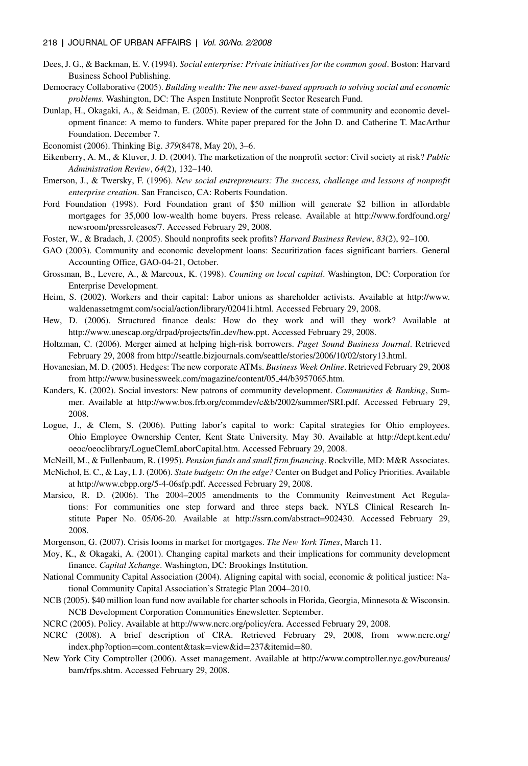- Dees, J. G., & Backman, E. V. (1994). *Social enterprise: Private initiatives for the common good*. Boston: Harvard Business School Publishing.
- Democracy Collaborative (2005). *Building wealth: The new asset-based approach to solving social and economic problems*. Washington, DC: The Aspen Institute Nonprofit Sector Research Fund.
- Dunlap, H., Okagaki, A., & Seidman, E. (2005). Review of the current state of community and economic development finance: A memo to funders. White paper prepared for the John D. and Catherine T. MacArthur Foundation. December 7.

Economist (2006). Thinking Big. *379*(8478, May 20), 3–6.

- Eikenberry, A. M., & Kluver, J. D. (2004). The marketization of the nonprofit sector: Civil society at risk? *Public Administration Review*, *64*(2), 132–140.
- Emerson, J., & Twersky, F. (1996). *New social entrepreneurs: The success, challenge and lessons of nonprofit enterprise creation*. San Francisco, CA: Roberts Foundation.
- Ford Foundation (1998). Ford Foundation grant of \$50 million will generate \$2 billion in affordable mortgages for 35,000 low-wealth home buyers. Press release. Available at http://www.fordfound.org/ newsroom/pressreleases/7. Accessed February 29, 2008.
- Foster, W., & Bradach, J. (2005). Should nonprofits seek profits? *Harvard Business Review*, *83*(2), 92–100.
- GAO (2003). Community and economic development loans: Securitization faces significant barriers. General Accounting Office, GAO-04-21, October.
- Grossman, B., Levere, A., & Marcoux, K. (1998). *Counting on local capital*. Washington, DC: Corporation for Enterprise Development.
- Heim, S. (2002). Workers and their capital: Labor unions as shareholder activists. Available at http://www. waldenassetmgmt.com/social/action/library/02041i.html. Accessed February 29, 2008.
- Hew, D. (2006). Structured finance deals: How do they work and will they work? Available at http://www.unescap.org/drpad/projects/fin dev/hew.ppt. Accessed February 29, 2008.
- Holtzman, C. (2006). Merger aimed at helping high-risk borrowers. *Puget Sound Business Journal*. Retrieved February 29, 2008 from http://seattle.bizjournals.com/seattle/stories/2006/10/02/story13.html.
- Hovanesian, M. D. (2005). Hedges: The new corporate ATMs. *Business Week Online*. Retrieved February 29, 2008 from http://www.businessweek.com/magazine/content/05 44/b3957065.htm.
- Kanders, K. (2002). Social investors: New patrons of community development. *Communities & Banking*, Summer. Available at http://www.bos.frb.org/commdev/c&b/2002/summer/SRI.pdf. Accessed February 29, 2008.
- Logue, J., & Clem, S. (2006). Putting labor's capital to work: Capital strategies for Ohio employees. Ohio Employee Ownership Center, Kent State University. May 30. Available at http://dept.kent.edu/ oeoc/oeoclibrary/LogueClemLaborCapital.htm. Accessed February 29, 2008.

McNeill, M., & Fullenbaum, R. (1995). *Pension funds and small firm financing*. Rockville, MD: M&R Associates.

- McNichol, E. C., & Lay, I. J. (2006). *State budgets: On the edge?* Center on Budget and Policy Priorities. Available at http://www.cbpp.org/5-4-06sfp.pdf. Accessed February 29, 2008.
- Marsico, R. D. (2006). The 2004–2005 amendments to the Community Reinvestment Act Regulations: For communities one step forward and three steps back. NYLS Clinical Research Institute Paper No. 05/06-20. Available at http://ssrn.com/abstract=902430. Accessed February 29, 2008.

Morgenson, G. (2007). Crisis looms in market for mortgages. *The New York Times*, March 11.

- Moy, K., & Okagaki, A. (2001). Changing capital markets and their implications for community development finance. *Capital Xchange*. Washington, DC: Brookings Institution.
- National Community Capital Association (2004). Aligning capital with social, economic & political justice: National Community Capital Association's Strategic Plan 2004–2010.
- NCB (2005). \$40 million loan fund now available for charter schools in Florida, Georgia, Minnesota & Wisconsin. NCB Development Corporation Communities Enewsletter. September.
- NCRC (2005). Policy. Available at http://www.ncrc.org/policy/cra. Accessed February 29, 2008.
- NCRC (2008). A brief description of CRA. Retrieved February 29, 2008, from www.ncrc.org/ index.php?option=com content&task=view&id=237&itemid=80.
- New York City Comptroller (2006). Asset management. Available at http://www.comptroller.nyc.gov/bureaus/ bam/rfps.shtm. Accessed February 29, 2008.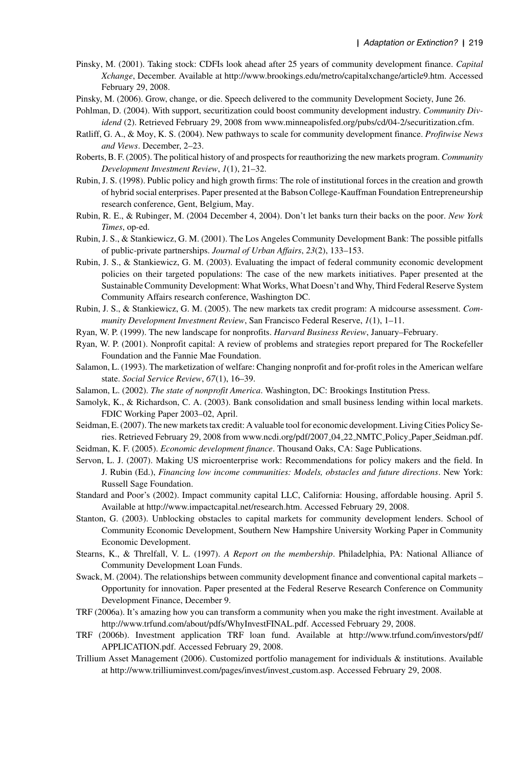- Pinsky, M. (2001). Taking stock: CDFIs look ahead after 25 years of community development finance. *Capital Xchange*, December. Available at http://www.brookings.edu/metro/capitalxchange/article9.htm. Accessed February 29, 2008.
- Pinsky, M. (2006). Grow, change, or die. Speech delivered to the community Development Society, June 26.
- Pohlman, D. (2004). With support, securitization could boost community development industry. *Community Dividend* (2). Retrieved February 29, 2008 from www.minneapolisfed.org/pubs/cd/04-2/securitization.cfm.
- Ratliff, G. A., & Moy, K. S. (2004). New pathways to scale for community development finance. *Profitwise News and Views*. December, 2–23.
- Roberts, B. F. (2005). The political history of and prospects for reauthorizing the new markets program. *Community Development Investment Review*, *1*(1), 21–32.
- Rubin, J. S. (1998). Public policy and high growth firms: The role of institutional forces in the creation and growth of hybrid social enterprises. Paper presented at the Babson College-Kauffman Foundation Entrepreneurship research conference, Gent, Belgium, May.
- Rubin, R. E., & Rubinger, M. (2004 December 4, 2004). Don't let banks turn their backs on the poor. *New York Times*, op-ed.
- Rubin, J. S., & Stankiewicz, G. M. (2001). The Los Angeles Community Development Bank: The possible pitfalls of public-private partnerships. *Journal of Urban Affairs*, *23*(2), 133–153.
- Rubin, J. S., & Stankiewicz, G. M. (2003). Evaluating the impact of federal community economic development policies on their targeted populations: The case of the new markets initiatives. Paper presented at the Sustainable Community Development: What Works, What Doesn't and Why, Third Federal Reserve System Community Affairs research conference, Washington DC.
- Rubin, J. S., & Stankiewicz, G. M. (2005). The new markets tax credit program: A midcourse assessment. *Community Development Investment Review*, San Francisco Federal Reserve, *1*(1), 1–11.
- Ryan, W. P. (1999). The new landscape for nonprofits. *Harvard Business Review*, January–February.
- Ryan, W. P. (2001). Nonprofit capital: A review of problems and strategies report prepared for The Rockefeller Foundation and the Fannie Mae Foundation.
- Salamon, L. (1993). The marketization of welfare: Changing nonprofit and for-profit roles in the American welfare state. *Social Service Review*, *67*(1), 16–39.
- Salamon, L. (2002). *The state of nonprofit America*. Washington, DC: Brookings Institution Press.
- Samolyk, K., & Richardson, C. A. (2003). Bank consolidation and small business lending within local markets. FDIC Working Paper 2003–02, April.
- Seidman, E. (2007). The new markets tax credit: A valuable tool for economic development. Living Cities Policy Series. Retrieved February 29, 2008 from www.ncdi.org/pdf/2007 04 22 NMTC Policy Paper Seidman.pdf.
- Seidman, K. F. (2005). *Economic development finance*. Thousand Oaks, CA: Sage Publications.
- Servon, L. J. (2007). Making US microenterprise work: Recommendations for policy makers and the field. In J. Rubin (Ed.), *Financing low income communities: Models, obstacles and future directions*. New York: Russell Sage Foundation.
- Standard and Poor's (2002). Impact community capital LLC, California: Housing, affordable housing. April 5. Available at http://www.impactcapital.net/research.htm. Accessed February 29, 2008.
- Stanton, G. (2003). Unblocking obstacles to capital markets for community development lenders. School of Community Economic Development, Southern New Hampshire University Working Paper in Community Economic Development.
- Stearns, K., & Threlfall, V. L. (1997). *A Report on the membership*. Philadelphia, PA: National Alliance of Community Development Loan Funds.
- Swack, M. (2004). The relationships between community development finance and conventional capital markets Opportunity for innovation. Paper presented at the Federal Reserve Research Conference on Community Development Finance, December 9.
- TRF (2006a). It's amazing how you can transform a community when you make the right investment. Available at http://www.trfund.com/about/pdfs/WhyInvestFINAL.pdf. Accessed February 29, 2008.
- TRF (2006b). Investment application TRF loan fund. Available at http://www.trfund.com/investors/pdf/ APPLICATION.pdf. Accessed February 29, 2008.
- Trillium Asset Management (2006). Customized portfolio management for individuals & institutions. Available at http://www.trilliuminvest.com/pages/invest/invest custom.asp. Accessed February 29, 2008.